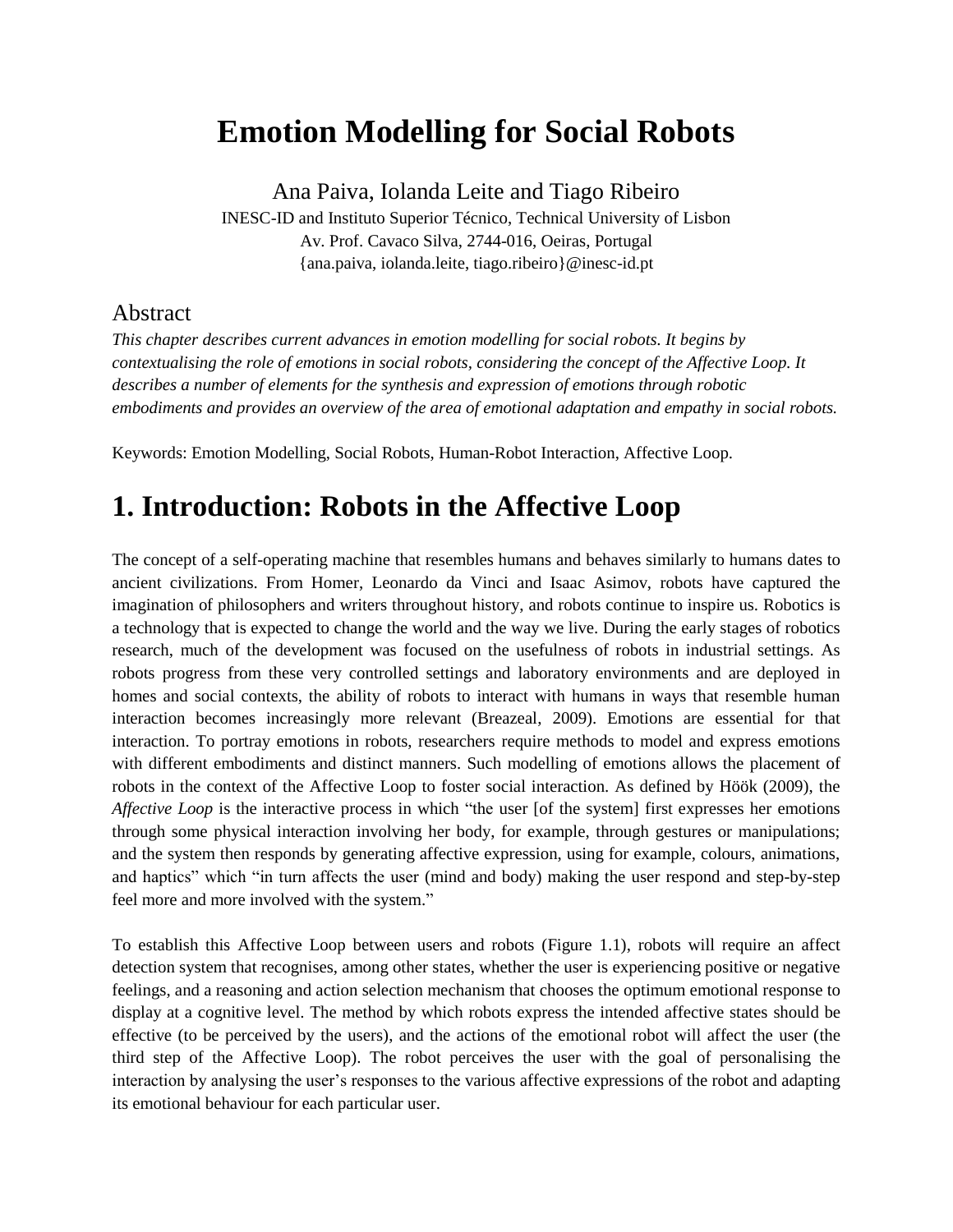# **Emotion Modelling for Social Robots**

Ana Paiva, Iolanda Leite and Tiago Ribeiro

INESC-ID and Instituto Superior Técnico, Technical University of Lisbon Av. Prof. Cavaco Silva, 2744-016, Oeiras, Portugal {ana.paiva, iolanda.leite, tiago.ribeiro}@inesc-id.pt

#### Abstract

*This chapter describes current advances in emotion modelling for social robots. It begins by contextualising the role of emotions in social robots, considering the concept of the Affective Loop. It describes a number of elements for the synthesis and expression of emotions through robotic embodiments and provides an overview of the area of emotional adaptation and empathy in social robots.* 

Keywords: Emotion Modelling, Social Robots, Human-Robot Interaction, Affective Loop.

# **1. Introduction: Robots in the Affective Loop**

The concept of a self-operating machine that resembles humans and behaves similarly to humans dates to ancient civilizations. From Homer, Leonardo da Vinci and Isaac Asimov, robots have captured the imagination of philosophers and writers throughout history, and robots continue to inspire us. Robotics is a technology that is expected to change the world and the way we live. During the early stages of robotics research, much of the development was focused on the usefulness of robots in industrial settings. As robots progress from these very controlled settings and laboratory environments and are deployed in homes and social contexts, the ability of robots to interact with humans in ways that resemble human interaction becomes increasingly more relevant (Breazeal, 2009). Emotions are essential for that interaction. To portray emotions in robots, researchers require methods to model and express emotions with different embodiments and distinct manners. Such modelling of emotions allows the placement of robots in the context of the Affective Loop to foster social interaction. As defined by Höök (2009), the *Affective Loop* is the interactive process in which "the user [of the system] first expresses her emotions through some physical interaction involving her body, for example, through gestures or manipulations; and the system then responds by generating affective expression, using for example, colours, animations, and haptics" which "in turn affects the user (mind and body) making the user respond and step-by-step feel more and more involved with the system."

To establish this Affective Loop between users and robots (Figure 1.1), robots will require an affect detection system that recognises, among other states, whether the user is experiencing positive or negative feelings, and a reasoning and action selection mechanism that chooses the optimum emotional response to display at a cognitive level. The method by which robots express the intended affective states should be effective (to be perceived by the users), and the actions of the emotional robot will affect the user (the third step of the Affective Loop). The robot perceives the user with the goal of personalising the interaction by analysing the user's responses to the various affective expressions of the robot and adapting its emotional behaviour for each particular user.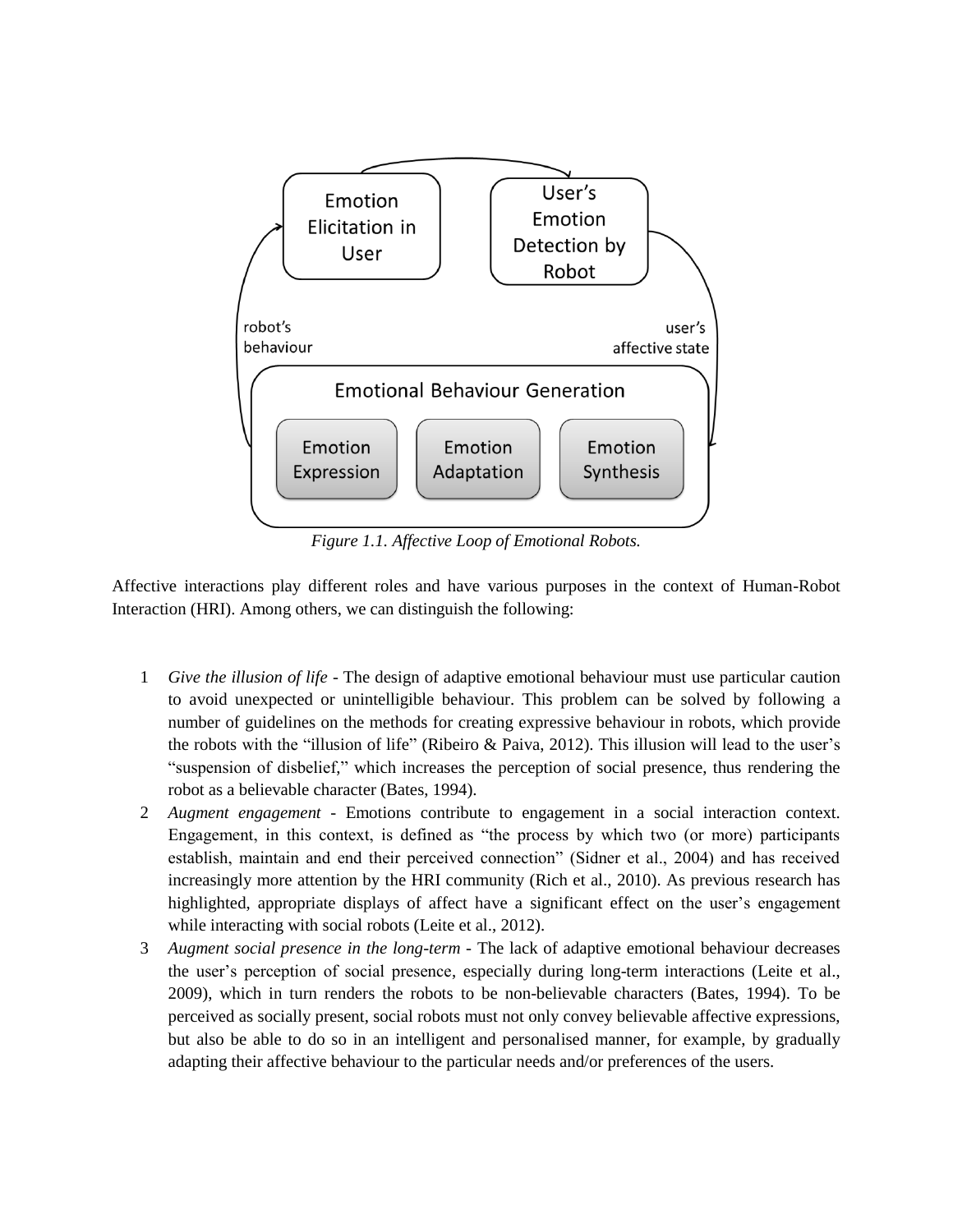

*Figure 1.1. Affective Loop of Emotional Robots.*

Affective interactions play different roles and have various purposes in the context of Human-Robot Interaction (HRI). Among others, we can distinguish the following:

- 1 *Give the illusion of life* The design of adaptive emotional behaviour must use particular caution to avoid unexpected or unintelligible behaviour. This problem can be solved by following a number of guidelines on the methods for creating expressive behaviour in robots, which provide the robots with the "illusion of life" (Ribeiro & Paiva, 2012). This illusion will lead to the user's "suspension of disbelief," which increases the perception of social presence, thus rendering the robot as a believable character (Bates, 1994).
- 2 *Augment engagement -* Emotions contribute to engagement in a social interaction context. Engagement, in this context, is defined as "the process by which two (or more) participants establish, maintain and end their perceived connection" (Sidner et al., 2004) and has received increasingly more attention by the HRI community (Rich et al., 2010). As previous research has highlighted, appropriate displays of affect have a significant effect on the user's engagement while interacting with social robots (Leite et al., 2012).
- 3 *Augment social presence in the long-term -* The lack of adaptive emotional behaviour decreases the user's perception of social presence, especially during long-term interactions (Leite et al., 2009), which in turn renders the robots to be non-believable characters (Bates, 1994). To be perceived as socially present, social robots must not only convey believable affective expressions, but also be able to do so in an intelligent and personalised manner, for example, by gradually adapting their affective behaviour to the particular needs and/or preferences of the users.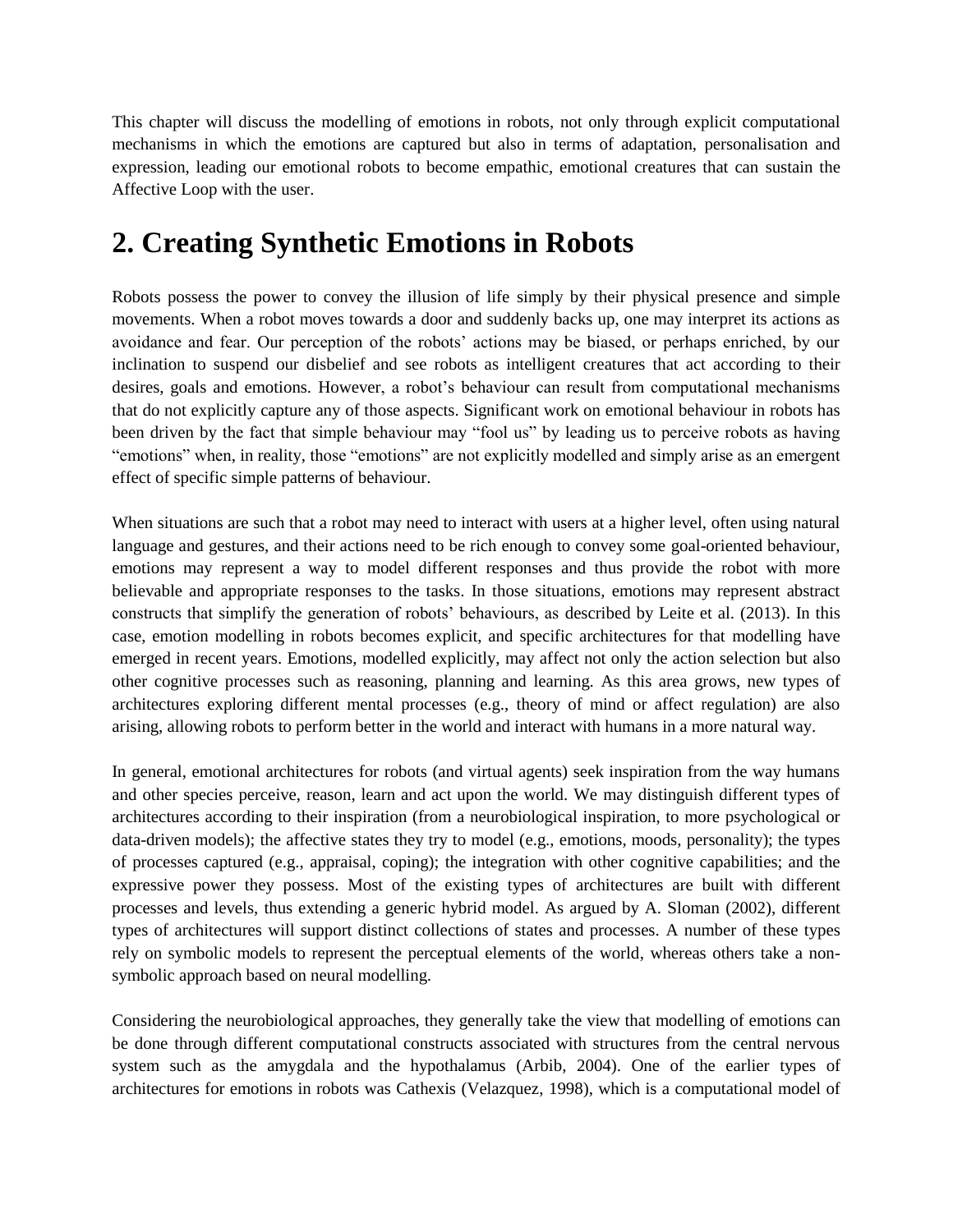This chapter will discuss the modelling of emotions in robots, not only through explicit computational mechanisms in which the emotions are captured but also in terms of adaptation, personalisation and expression, leading our emotional robots to become empathic, emotional creatures that can sustain the Affective Loop with the user.

### **2. Creating Synthetic Emotions in Robots**

Robots possess the power to convey the illusion of life simply by their physical presence and simple movements. When a robot moves towards a door and suddenly backs up, one may interpret its actions as avoidance and fear. Our perception of the robots' actions may be biased, or perhaps enriched, by our inclination to suspend our disbelief and see robots as intelligent creatures that act according to their desires, goals and emotions. However, a robot's behaviour can result from computational mechanisms that do not explicitly capture any of those aspects. Significant work on emotional behaviour in robots has been driven by the fact that simple behaviour may "fool us" by leading us to perceive robots as having "emotions" when, in reality, those "emotions" are not explicitly modelled and simply arise as an emergent effect of specific simple patterns of behaviour.

When situations are such that a robot may need to interact with users at a higher level, often using natural language and gestures, and their actions need to be rich enough to convey some goal-oriented behaviour, emotions may represent a way to model different responses and thus provide the robot with more believable and appropriate responses to the tasks. In those situations, emotions may represent abstract constructs that simplify the generation of robots' behaviours, as described by Leite et al. (2013). In this case, emotion modelling in robots becomes explicit, and specific architectures for that modelling have emerged in recent years. Emotions, modelled explicitly, may affect not only the action selection but also other cognitive processes such as reasoning, planning and learning. As this area grows, new types of architectures exploring different mental processes (e.g., theory of mind or affect regulation) are also arising, allowing robots to perform better in the world and interact with humans in a more natural way.

In general, emotional architectures for robots (and virtual agents) seek inspiration from the way humans and other species perceive, reason, learn and act upon the world. We may distinguish different types of architectures according to their inspiration (from a neurobiological inspiration, to more psychological or data-driven models); the affective states they try to model (e.g., emotions, moods, personality); the types of processes captured (e.g., appraisal, coping); the integration with other cognitive capabilities; and the expressive power they possess. Most of the existing types of architectures are built with different processes and levels, thus extending a generic hybrid model. As argued by A. Sloman (2002), different types of architectures will support distinct collections of states and processes. A number of these types rely on symbolic models to represent the perceptual elements of the world, whereas others take a nonsymbolic approach based on neural modelling.

Considering the neurobiological approaches, they generally take the view that modelling of emotions can be done through different computational constructs associated with structures from the central nervous system such as the amygdala and the hypothalamus (Arbib, 2004). One of the earlier types of architectures for emotions in robots was Cathexis (Velazquez, 1998), which is a computational model of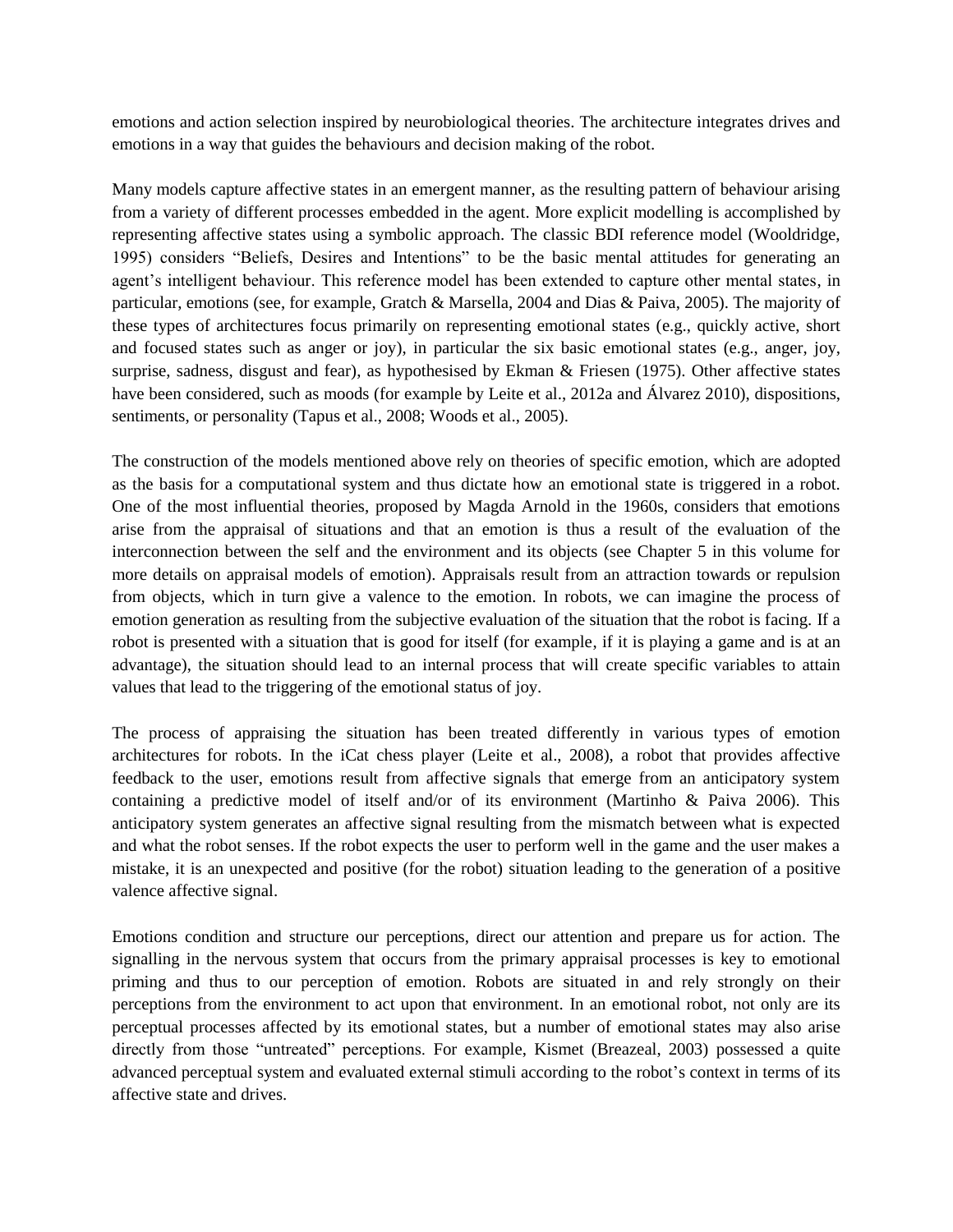emotions and action selection inspired by neurobiological theories. The architecture integrates drives and emotions in a way that guides the behaviours and decision making of the robot.

Many models capture affective states in an emergent manner, as the resulting pattern of behaviour arising from a variety of different processes embedded in the agent. More explicit modelling is accomplished by representing affective states using a symbolic approach. The classic BDI reference model (Wooldridge, 1995) considers "Beliefs, Desires and Intentions" to be the basic mental attitudes for generating an agent's intelligent behaviour. This reference model has been extended to capture other mental states, in particular, emotions (see, for example, Gratch & Marsella, 2004 and Dias & Paiva, 2005). The majority of these types of architectures focus primarily on representing emotional states (e.g., quickly active, short and focused states such as anger or joy), in particular the six basic emotional states (e.g., anger, joy, surprise, sadness, disgust and fear), as hypothesised by Ekman & Friesen (1975). Other affective states have been considered, such as moods (for example by Leite et al., 2012a and Álvarez 2010), dispositions, sentiments, or personality (Tapus et al., 2008; Woods et al., 2005).

The construction of the models mentioned above rely on theories of specific emotion, which are adopted as the basis for a computational system and thus dictate how an emotional state is triggered in a robot. One of the most influential theories, proposed by Magda Arnold in the 1960s, considers that emotions arise from the appraisal of situations and that an emotion is thus a result of the evaluation of the interconnection between the self and the environment and its objects (see Chapter 5 in this volume for more details on appraisal models of emotion). Appraisals result from an attraction towards or repulsion from objects, which in turn give a valence to the emotion. In robots, we can imagine the process of emotion generation as resulting from the subjective evaluation of the situation that the robot is facing. If a robot is presented with a situation that is good for itself (for example, if it is playing a game and is at an advantage), the situation should lead to an internal process that will create specific variables to attain values that lead to the triggering of the emotional status of joy.

The process of appraising the situation has been treated differently in various types of emotion architectures for robots. In the iCat chess player (Leite et al., 2008), a robot that provides affective feedback to the user, emotions result from affective signals that emerge from an anticipatory system containing a predictive model of itself and/or of its environment (Martinho & Paiva 2006). This anticipatory system generates an affective signal resulting from the mismatch between what is expected and what the robot senses. If the robot expects the user to perform well in the game and the user makes a mistake, it is an unexpected and positive (for the robot) situation leading to the generation of a positive valence affective signal.

Emotions condition and structure our perceptions, direct our attention and prepare us for action. The signalling in the nervous system that occurs from the primary appraisal processes is key to emotional priming and thus to our perception of emotion. Robots are situated in and rely strongly on their perceptions from the environment to act upon that environment. In an emotional robot, not only are its perceptual processes affected by its emotional states, but a number of emotional states may also arise directly from those "untreated" perceptions. For example, Kismet (Breazeal, 2003) possessed a quite advanced perceptual system and evaluated external stimuli according to the robot's context in terms of its affective state and drives.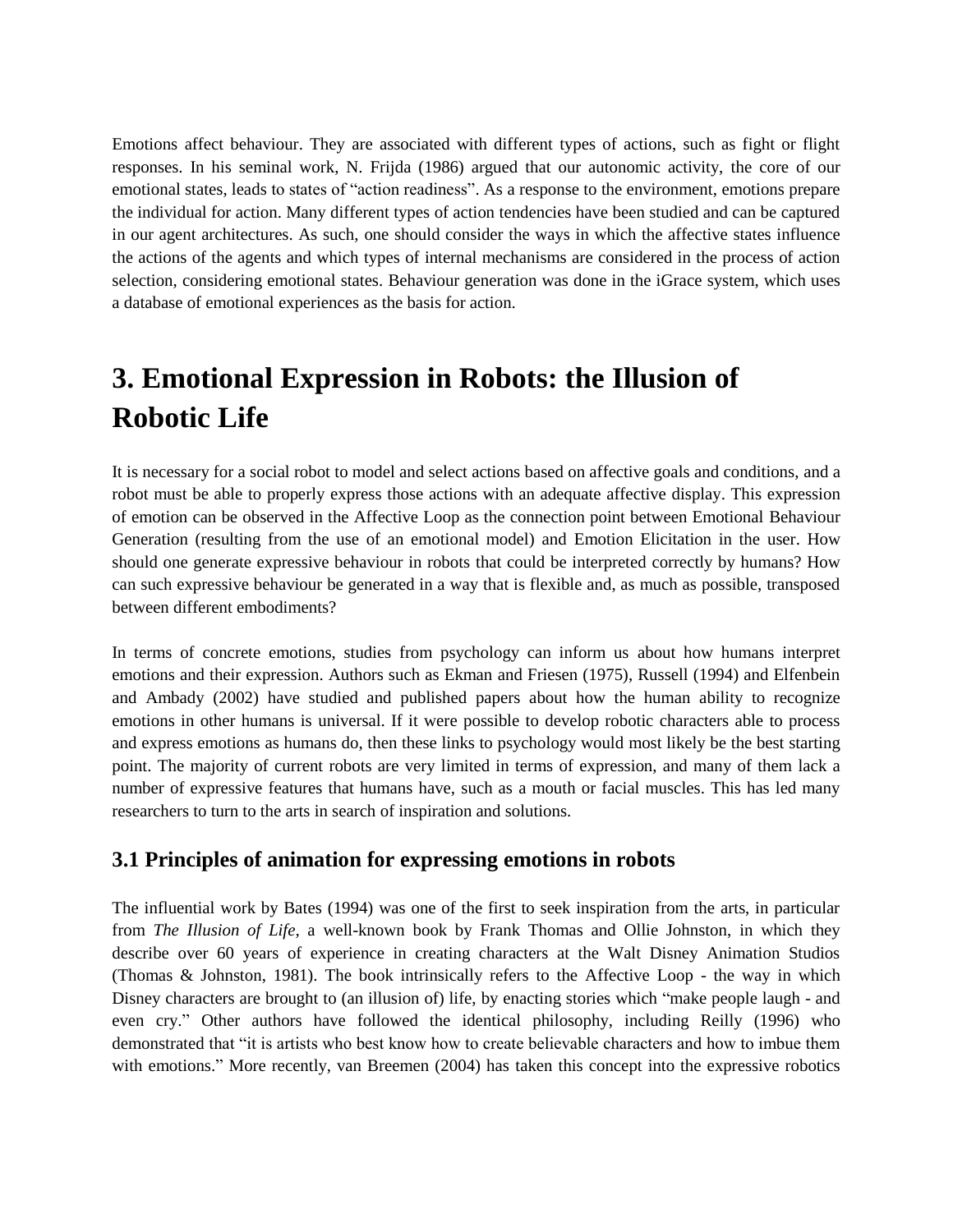Emotions affect behaviour. They are associated with different types of actions, such as fight or flight responses. In his seminal work, N. Frijda (1986) argued that our autonomic activity, the core of our emotional states, leads to states of "action readiness". As a response to the environment, emotions prepare the individual for action. Many different types of action tendencies have been studied and can be captured in our agent architectures. As such, one should consider the ways in which the affective states influence the actions of the agents and which types of internal mechanisms are considered in the process of action selection, considering emotional states. Behaviour generation was done in the iGrace system, which uses a database of emotional experiences as the basis for action.

# **3. Emotional Expression in Robots: the Illusion of Robotic Life**

It is necessary for a social robot to model and select actions based on affective goals and conditions, and a robot must be able to properly express those actions with an adequate affective display. This expression of emotion can be observed in the Affective Loop as the connection point between Emotional Behaviour Generation (resulting from the use of an emotional model) and Emotion Elicitation in the user. How should one generate expressive behaviour in robots that could be interpreted correctly by humans? How can such expressive behaviour be generated in a way that is flexible and, as much as possible, transposed between different embodiments?

In terms of concrete emotions, studies from psychology can inform us about how humans interpret emotions and their expression. Authors such as Ekman and Friesen (1975), Russell (1994) and Elfenbein and Ambady (2002) have studied and published papers about how the human ability to recognize emotions in other humans is universal. If it were possible to develop robotic characters able to process and express emotions as humans do, then these links to psychology would most likely be the best starting point. The majority of current robots are very limited in terms of expression, and many of them lack a number of expressive features that humans have, such as a mouth or facial muscles. This has led many researchers to turn to the arts in search of inspiration and solutions.

#### **3.1 Principles of animation for expressing emotions in robots**

The influential work by Bates (1994) was one of the first to seek inspiration from the arts, in particular from *The Illusion of Life,* a well-known book by Frank Thomas and Ollie Johnston, in which they describe over 60 years of experience in creating characters at the Walt Disney Animation Studios (Thomas & Johnston, 1981). The book intrinsically refers to the Affective Loop - the way in which Disney characters are brought to (an illusion of) life, by enacting stories which "make people laugh - and even cry." Other authors have followed the identical philosophy, including Reilly (1996) who demonstrated that "it is artists who best know how to create believable characters and how to imbue them with emotions." More recently, van Breemen (2004) has taken this concept into the expressive robotics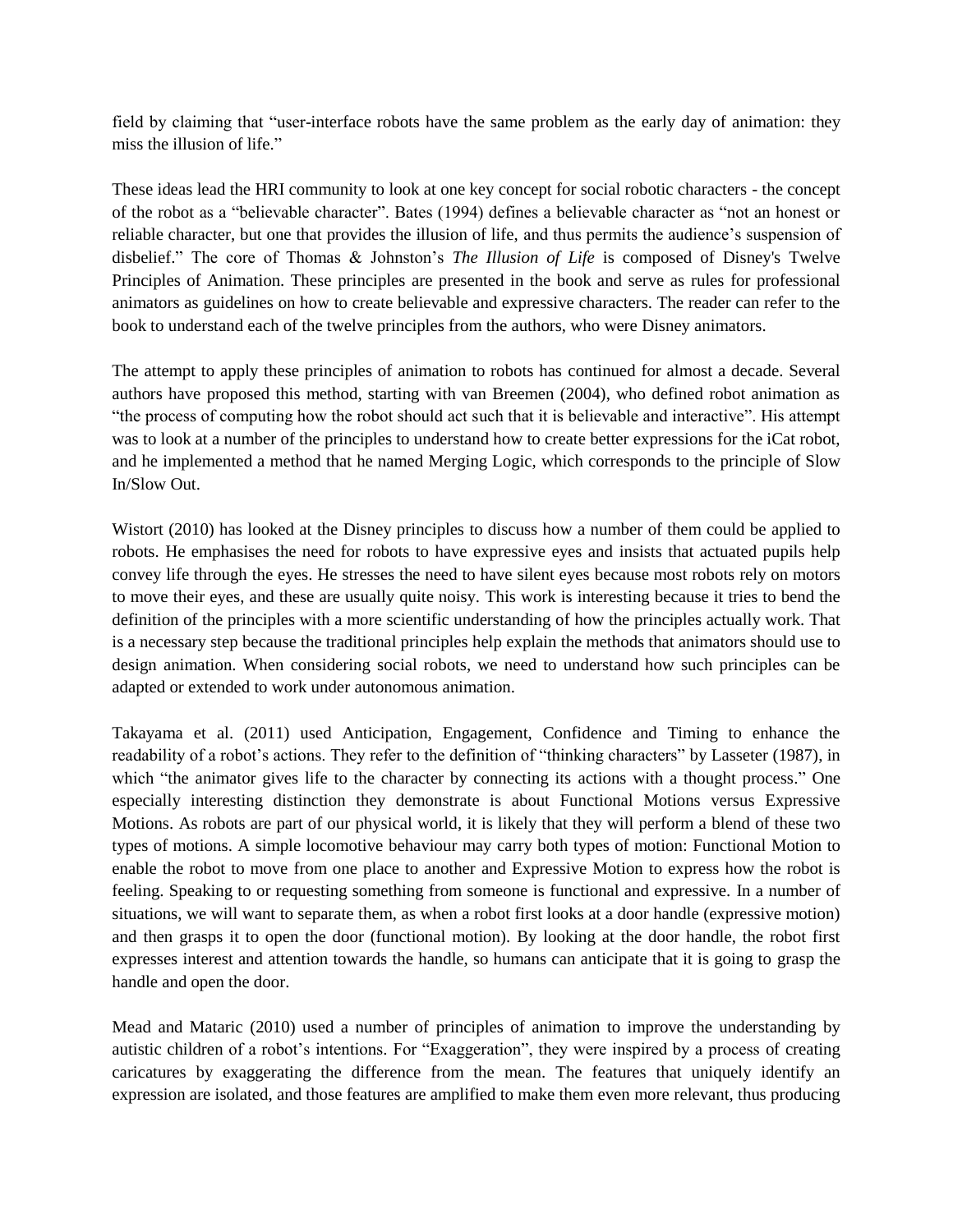field by claiming that "user-interface robots have the same problem as the early day of animation: they miss the illusion of life."

These ideas lead the HRI community to look at one key concept for social robotic characters - the concept of the robot as a "believable character". Bates (1994) defines a believable character as "not an honest or reliable character, but one that provides the illusion of life, and thus permits the audience's suspension of disbelief." The core of Thomas & Johnston's *The Illusion of Life* is composed of Disney's Twelve Principles of Animation. These principles are presented in the book and serve as rules for professional animators as guidelines on how to create believable and expressive characters. The reader can refer to the book to understand each of the twelve principles from the authors, who were Disney animators.

The attempt to apply these principles of animation to robots has continued for almost a decade. Several authors have proposed this method, starting with van Breemen (2004), who defined robot animation as "the process of computing how the robot should act such that it is believable and interactive". His attempt was to look at a number of the principles to understand how to create better expressions for the iCat robot, and he implemented a method that he named Merging Logic, which corresponds to the principle of Slow In/Slow Out.

Wistort (2010) has looked at the Disney principles to discuss how a number of them could be applied to robots. He emphasises the need for robots to have expressive eyes and insists that actuated pupils help convey life through the eyes. He stresses the need to have silent eyes because most robots rely on motors to move their eyes, and these are usually quite noisy. This work is interesting because it tries to bend the definition of the principles with a more scientific understanding of how the principles actually work. That is a necessary step because the traditional principles help explain the methods that animators should use to design animation. When considering social robots, we need to understand how such principles can be adapted or extended to work under autonomous animation.

Takayama et al. (2011) used Anticipation, Engagement, Confidence and Timing to enhance the readability of a robot's actions. They refer to the definition of "thinking characters" by Lasseter (1987), in which "the animator gives life to the character by connecting its actions with a thought process." One especially interesting distinction they demonstrate is about Functional Motions versus Expressive Motions. As robots are part of our physical world, it is likely that they will perform a blend of these two types of motions. A simple locomotive behaviour may carry both types of motion: Functional Motion to enable the robot to move from one place to another and Expressive Motion to express how the robot is feeling. Speaking to or requesting something from someone is functional and expressive. In a number of situations, we will want to separate them, as when a robot first looks at a door handle (expressive motion) and then grasps it to open the door (functional motion). By looking at the door handle, the robot first expresses interest and attention towards the handle, so humans can anticipate that it is going to grasp the handle and open the door.

Mead and Mataric (2010) used a number of principles of animation to improve the understanding by autistic children of a robot's intentions. For "Exaggeration", they were inspired by a process of creating caricatures by exaggerating the difference from the mean. The features that uniquely identify an expression are isolated, and those features are amplified to make them even more relevant, thus producing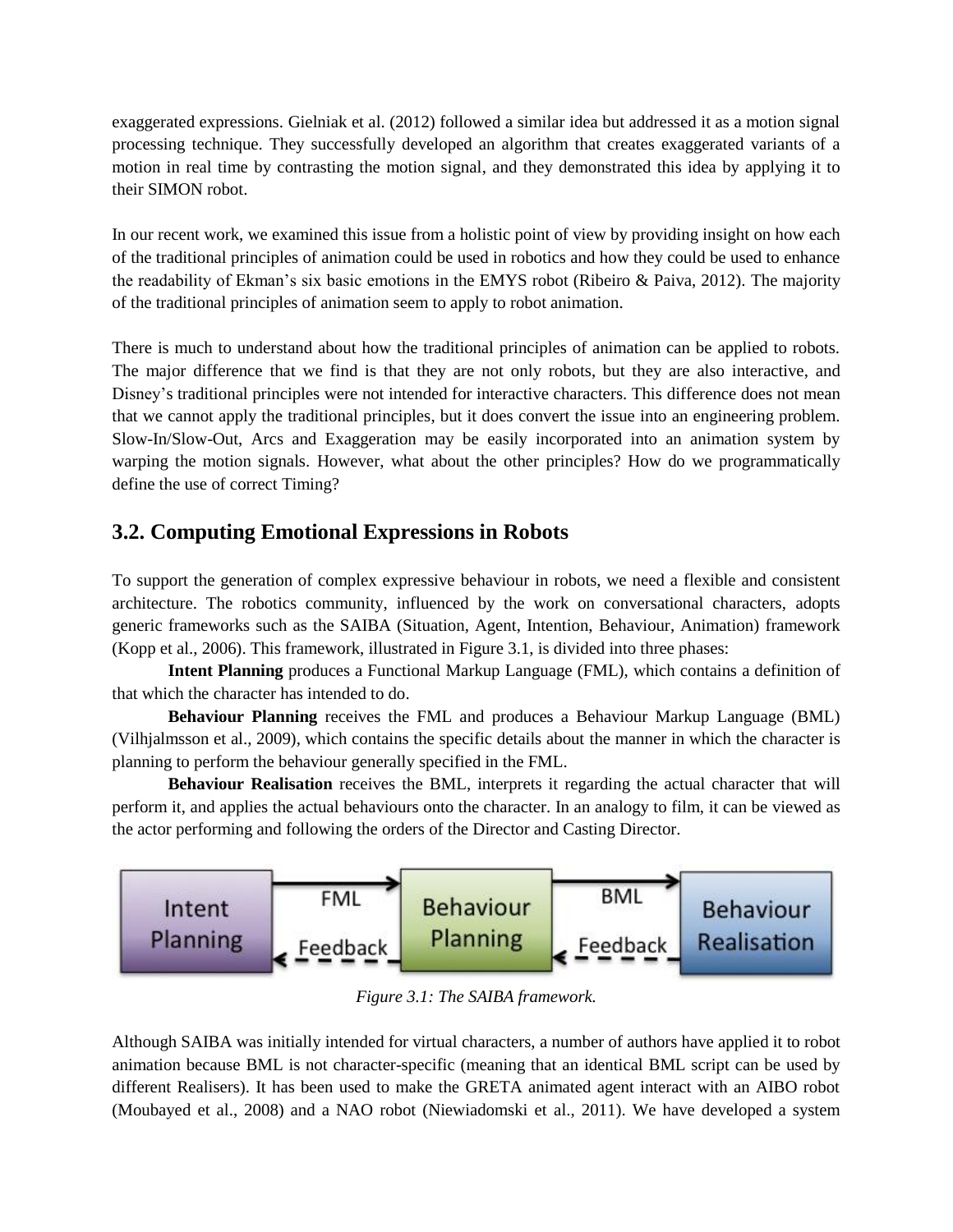exaggerated expressions. Gielniak et al. (2012) followed a similar idea but addressed it as a motion signal processing technique. They successfully developed an algorithm that creates exaggerated variants of a motion in real time by contrasting the motion signal, and they demonstrated this idea by applying it to their SIMON robot.

In our recent work, we examined this issue from a holistic point of view by providing insight on how each of the traditional principles of animation could be used in robotics and how they could be used to enhance the readability of Ekman's six basic emotions in the EMYS robot (Ribeiro & Paiva, 2012). The majority of the traditional principles of animation seem to apply to robot animation.

There is much to understand about how the traditional principles of animation can be applied to robots. The major difference that we find is that they are not only robots, but they are also interactive, and Disney's traditional principles were not intended for interactive characters. This difference does not mean that we cannot apply the traditional principles, but it does convert the issue into an engineering problem. Slow-In/Slow-Out, Arcs and Exaggeration may be easily incorporated into an animation system by warping the motion signals. However, what about the other principles? How do we programmatically define the use of correct Timing?

#### **3.2. Computing Emotional Expressions in Robots**

To support the generation of complex expressive behaviour in robots, we need a flexible and consistent architecture. The robotics community, influenced by the work on conversational characters, adopts generic frameworks such as the SAIBA (Situation, Agent, Intention, Behaviour, Animation) framework (Kopp et al., 2006). This framework, illustrated in Figure 3.1, is divided into three phases:

**Intent Planning** produces a Functional Markup Language (FML), which contains a definition of that which the character has intended to do.

**Behaviour Planning** receives the FML and produces a Behaviour Markup Language (BML) (Vilhjalmsson et al., 2009), which contains the specific details about the manner in which the character is planning to perform the behaviour generally specified in the FML.

**Behaviour Realisation** receives the BML, interprets it regarding the actual character that will perform it, and applies the actual behaviours onto the character. In an analogy to film, it can be viewed as the actor performing and following the orders of the Director and Casting Director.



*Figure 3.1: The SAIBA framework.*

Although SAIBA was initially intended for virtual characters, a number of authors have applied it to robot animation because BML is not character-specific (meaning that an identical BML script can be used by different Realisers). It has been used to make the GRETA animated agent interact with an AIBO robot (Moubayed et al., 2008) and a NAO robot (Niewiadomski et al., 2011). We have developed a system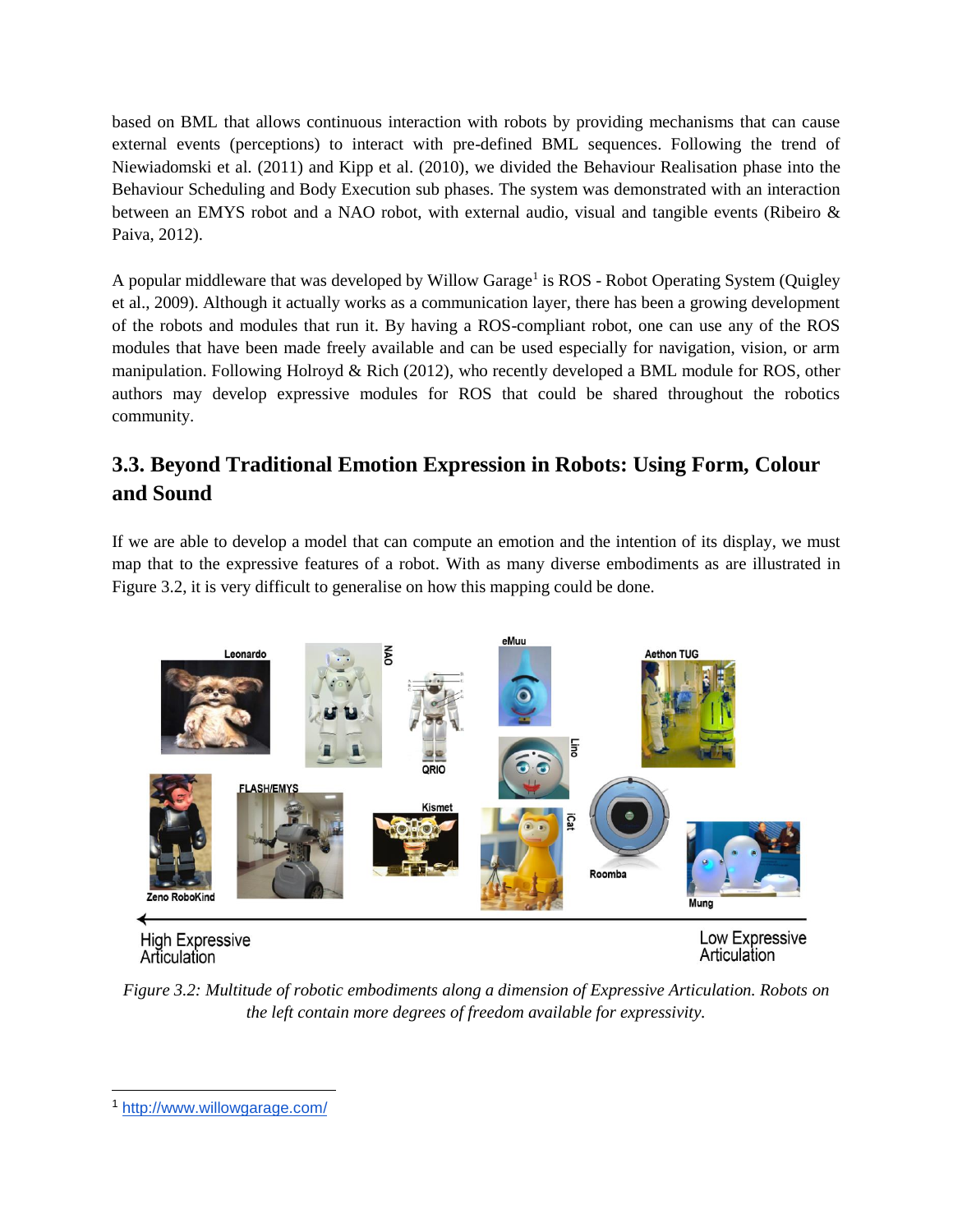based on BML that allows continuous interaction with robots by providing mechanisms that can cause external events (perceptions) to interact with pre-defined BML sequences. Following the trend of Niewiadomski et al. (2011) and Kipp et al. (2010), we divided the Behaviour Realisation phase into the Behaviour Scheduling and Body Execution sub phases. The system was demonstrated with an interaction between an EMYS robot and a NAO robot, with external audio, visual and tangible events (Ribeiro & Paiva, 2012).

A popular middleware that was developed by Willow Garage<sup>1</sup> is ROS - Robot Operating System (Quigley et al., 2009). Although it actually works as a communication layer, there has been a growing development of the robots and modules that run it. By having a ROS-compliant robot, one can use any of the ROS modules that have been made freely available and can be used especially for navigation, vision, or arm manipulation. Following Holroyd & Rich (2012), who recently developed a BML module for ROS, other authors may develop expressive modules for ROS that could be shared throughout the robotics community.

### **3.3. Beyond Traditional Emotion Expression in Robots: Using Form, Colour and Sound**

If we are able to develop a model that can compute an emotion and the intention of its display, we must map that to the expressive features of a robot. With as many diverse embodiments as are illustrated in Figure 3.2, it is very difficult to generalise on how this mapping could be done.



**High Expressive** Articulation

 $\overline{a}$ 

Low Expressive Articulation



<sup>1</sup> <http://www.willowgarage.com/>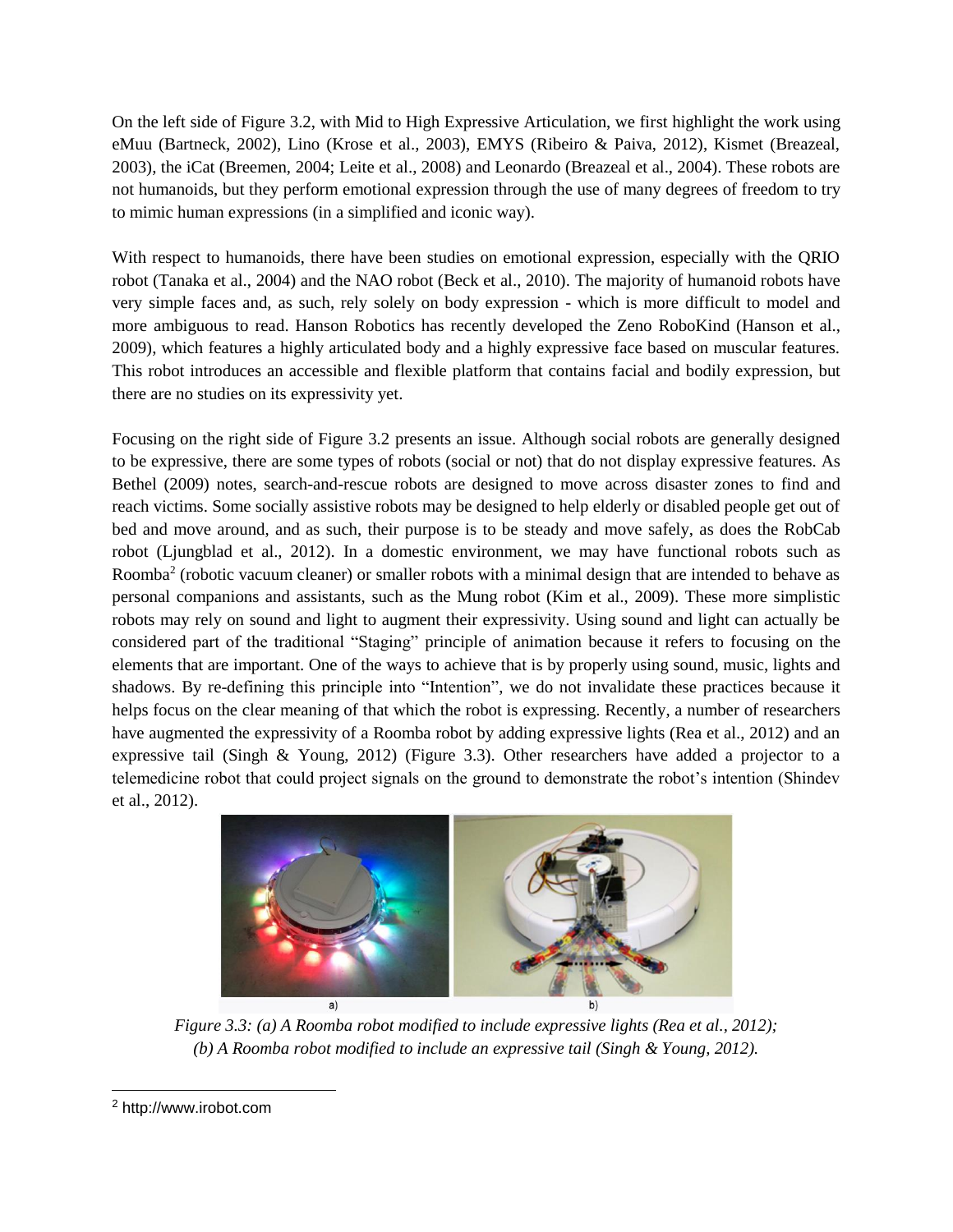On the left side of Figure 3.2, with Mid to High Expressive Articulation, we first highlight the work using eMuu (Bartneck, 2002), Lino (Krose et al., 2003), EMYS (Ribeiro & Paiva, 2012), Kismet (Breazeal, 2003), the iCat (Breemen, 2004; Leite et al., 2008) and Leonardo (Breazeal et al., 2004). These robots are not humanoids, but they perform emotional expression through the use of many degrees of freedom to try to mimic human expressions (in a simplified and iconic way).

With respect to humanoids, there have been studies on emotional expression, especially with the QRIO robot (Tanaka et al., 2004) and the NAO robot (Beck et al., 2010). The majority of humanoid robots have very simple faces and, as such, rely solely on body expression - which is more difficult to model and more ambiguous to read. Hanson Robotics has recently developed the Zeno RoboKind (Hanson et al., 2009), which features a highly articulated body and a highly expressive face based on muscular features. This robot introduces an accessible and flexible platform that contains facial and bodily expression, but there are no studies on its expressivity yet.

Focusing on the right side of Figure 3.2 presents an issue. Although social robots are generally designed to be expressive, there are some types of robots (social or not) that do not display expressive features. As Bethel (2009) notes, search-and-rescue robots are designed to move across disaster zones to find and reach victims. Some socially assistive robots may be designed to help elderly or disabled people get out of bed and move around, and as such, their purpose is to be steady and move safely, as does the RobCab robot (Ljungblad et al., 2012). In a domestic environment, we may have functional robots such as Roomba<sup>2</sup> (robotic vacuum cleaner) or smaller robots with a minimal design that are intended to behave as personal companions and assistants, such as the Mung robot (Kim et al., 2009). These more simplistic robots may rely on sound and light to augment their expressivity. Using sound and light can actually be considered part of the traditional "Staging" principle of animation because it refers to focusing on the elements that are important. One of the ways to achieve that is by properly using sound, music, lights and shadows. By re-defining this principle into "Intention", we do not invalidate these practices because it helps focus on the clear meaning of that which the robot is expressing. Recently, a number of researchers have augmented the expressivity of a Roomba robot by adding expressive lights (Rea et al., 2012) and an expressive tail (Singh & Young, 2012) (Figure 3.3). Other researchers have added a projector to a telemedicine robot that could project signals on the ground to demonstrate the robot's intention (Shindev et al., 2012).



*Figure 3.3: (a) A Roomba robot modified to include expressive lights (Rea et al., 2012); (b) A Roomba robot modified to include an expressive tail (Singh & Young, 2012).*

 $\overline{a}$ 

<sup>2</sup> http://www.irobot.com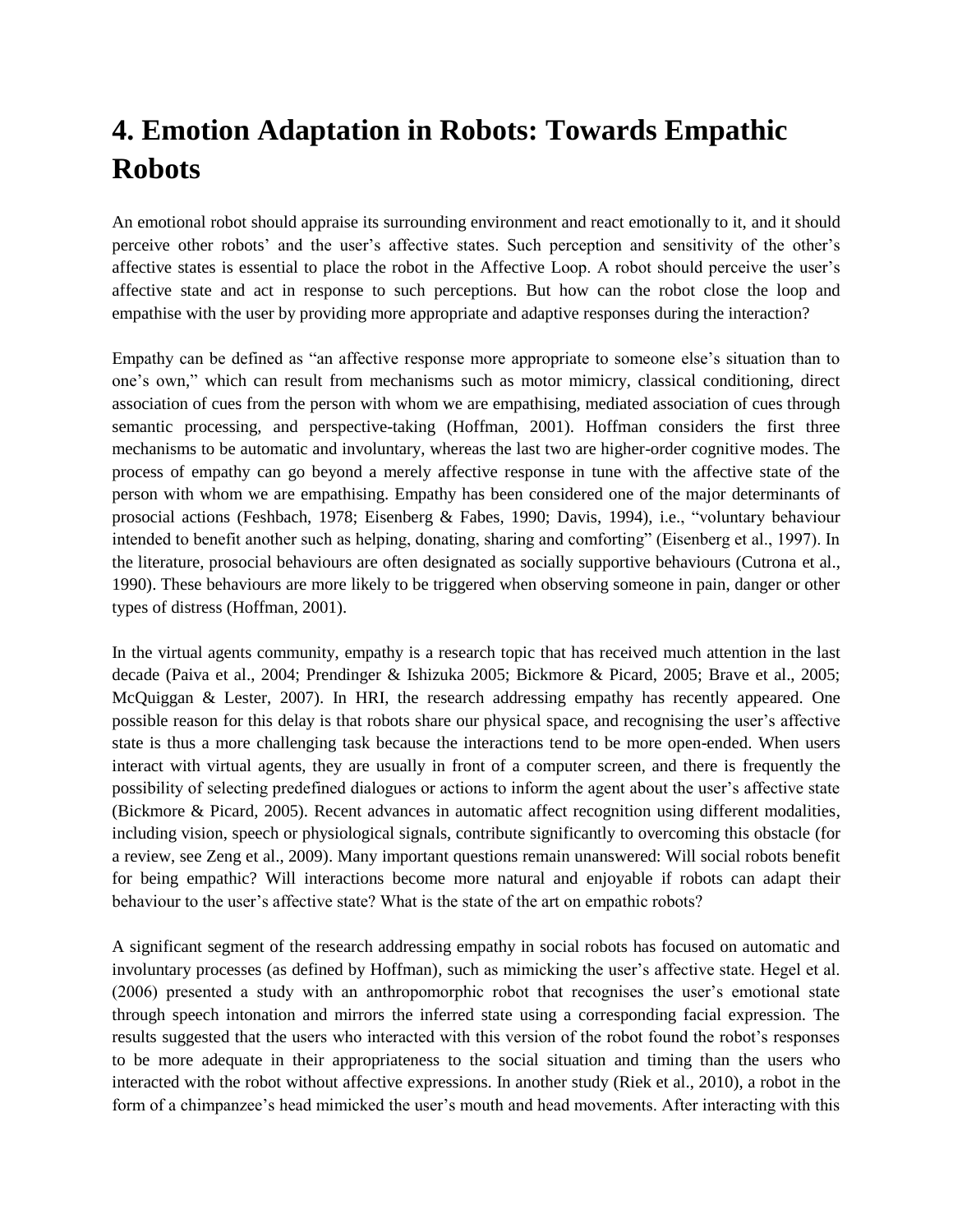# **4. Emotion Adaptation in Robots: Towards Empathic Robots**

An emotional robot should appraise its surrounding environment and react emotionally to it, and it should perceive other robots' and the user's affective states. Such perception and sensitivity of the other's affective states is essential to place the robot in the Affective Loop. A robot should perceive the user's affective state and act in response to such perceptions. But how can the robot close the loop and empathise with the user by providing more appropriate and adaptive responses during the interaction?

Empathy can be defined as "an affective response more appropriate to someone else's situation than to one's own," which can result from mechanisms such as motor mimicry, classical conditioning, direct association of cues from the person with whom we are empathising, mediated association of cues through semantic processing, and perspective-taking (Hoffman, 2001). Hoffman considers the first three mechanisms to be automatic and involuntary, whereas the last two are higher-order cognitive modes. The process of empathy can go beyond a merely affective response in tune with the affective state of the person with whom we are empathising. Empathy has been considered one of the major determinants of prosocial actions (Feshbach, 1978; Eisenberg & Fabes, 1990; Davis, 1994), i.e., "voluntary behaviour intended to benefit another such as helping, donating, sharing and comforting" (Eisenberg et al., 1997). In the literature, prosocial behaviours are often designated as socially supportive behaviours (Cutrona et al., 1990). These behaviours are more likely to be triggered when observing someone in pain, danger or other types of distress (Hoffman, 2001).

In the virtual agents community, empathy is a research topic that has received much attention in the last decade (Paiva et al., 2004; Prendinger & Ishizuka 2005; Bickmore & Picard, 2005; Brave et al., 2005; McQuiggan & Lester, 2007). In HRI, the research addressing empathy has recently appeared. One possible reason for this delay is that robots share our physical space, and recognising the user's affective state is thus a more challenging task because the interactions tend to be more open-ended. When users interact with virtual agents, they are usually in front of a computer screen, and there is frequently the possibility of selecting predefined dialogues or actions to inform the agent about the user's affective state (Bickmore & Picard, 2005). Recent advances in automatic affect recognition using different modalities, including vision, speech or physiological signals, contribute significantly to overcoming this obstacle (for a review, see Zeng et al., 2009). Many important questions remain unanswered: Will social robots benefit for being empathic? Will interactions become more natural and enjoyable if robots can adapt their behaviour to the user's affective state? What is the state of the art on empathic robots?

A significant segment of the research addressing empathy in social robots has focused on automatic and involuntary processes (as defined by Hoffman), such as mimicking the user's affective state. Hegel et al. (2006) presented a study with an anthropomorphic robot that recognises the user's emotional state through speech intonation and mirrors the inferred state using a corresponding facial expression. The results suggested that the users who interacted with this version of the robot found the robot's responses to be more adequate in their appropriateness to the social situation and timing than the users who interacted with the robot without affective expressions. In another study (Riek et al., 2010), a robot in the form of a chimpanzee's head mimicked the user's mouth and head movements. After interacting with this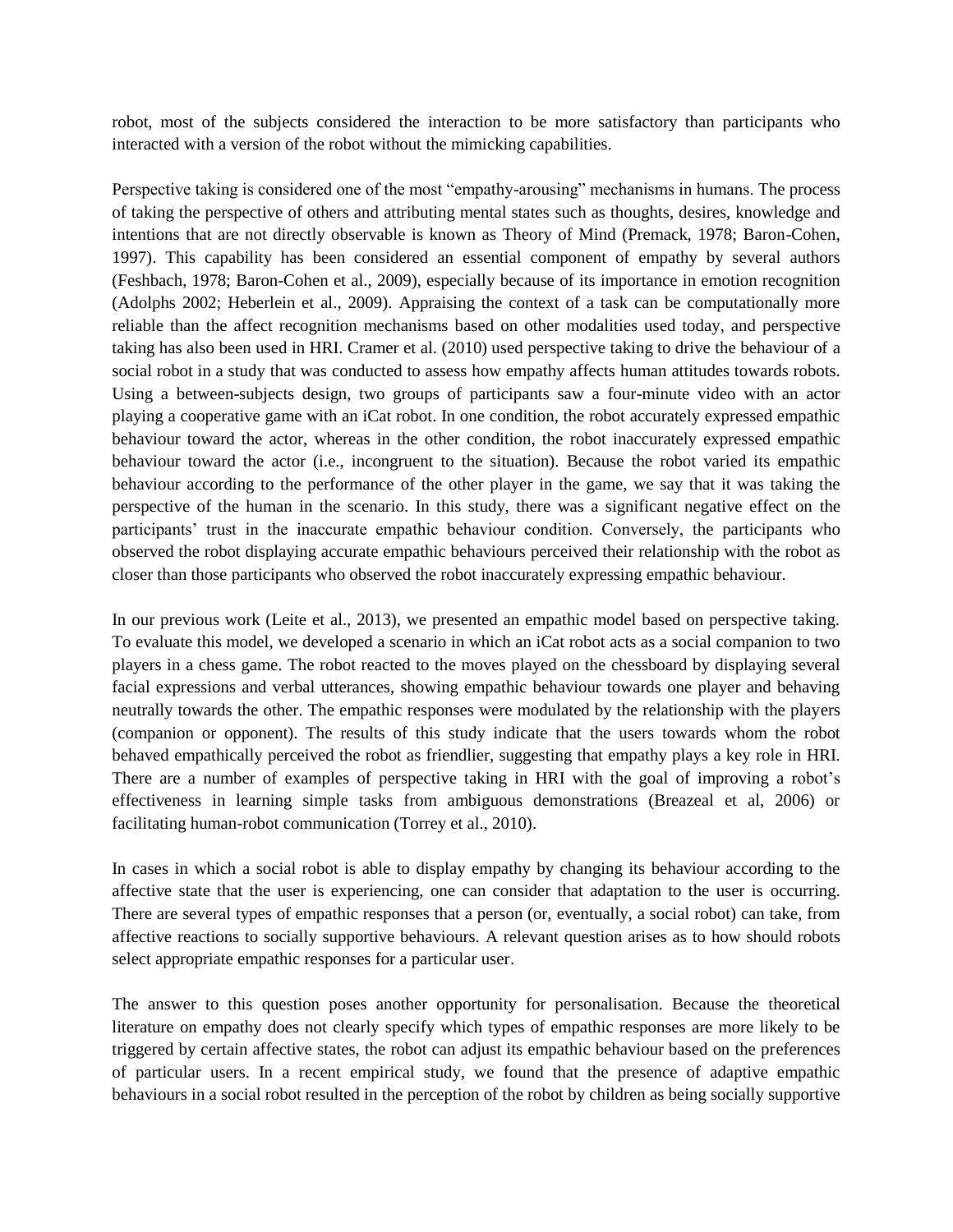robot, most of the subjects considered the interaction to be more satisfactory than participants who interacted with a version of the robot without the mimicking capabilities.

Perspective taking is considered one of the most "empathy-arousing" mechanisms in humans. The process of taking the perspective of others and attributing mental states such as thoughts, desires, knowledge and intentions that are not directly observable is known as Theory of Mind (Premack, 1978; Baron-Cohen, 1997). This capability has been considered an essential component of empathy by several authors (Feshbach, 1978; Baron-Cohen et al., 2009), especially because of its importance in emotion recognition (Adolphs 2002; Heberlein et al., 2009). Appraising the context of a task can be computationally more reliable than the affect recognition mechanisms based on other modalities used today, and perspective taking has also been used in HRI. Cramer et al. (2010) used perspective taking to drive the behaviour of a social robot in a study that was conducted to assess how empathy affects human attitudes towards robots. Using a between-subjects design, two groups of participants saw a four-minute video with an actor playing a cooperative game with an iCat robot. In one condition, the robot accurately expressed empathic behaviour toward the actor, whereas in the other condition, the robot inaccurately expressed empathic behaviour toward the actor (i.e., incongruent to the situation). Because the robot varied its empathic behaviour according to the performance of the other player in the game, we say that it was taking the perspective of the human in the scenario. In this study, there was a significant negative effect on the participants' trust in the inaccurate empathic behaviour condition. Conversely, the participants who observed the robot displaying accurate empathic behaviours perceived their relationship with the robot as closer than those participants who observed the robot inaccurately expressing empathic behaviour.

In our previous work (Leite et al., 2013), we presented an empathic model based on perspective taking. To evaluate this model, we developed a scenario in which an iCat robot acts as a social companion to two players in a chess game. The robot reacted to the moves played on the chessboard by displaying several facial expressions and verbal utterances, showing empathic behaviour towards one player and behaving neutrally towards the other. The empathic responses were modulated by the relationship with the players (companion or opponent). The results of this study indicate that the users towards whom the robot behaved empathically perceived the robot as friendlier, suggesting that empathy plays a key role in HRI. There are a number of examples of perspective taking in HRI with the goal of improving a robot's effectiveness in learning simple tasks from ambiguous demonstrations (Breazeal et al, 2006) or facilitating human-robot communication (Torrey et al., 2010).

In cases in which a social robot is able to display empathy by changing its behaviour according to the affective state that the user is experiencing, one can consider that adaptation to the user is occurring. There are several types of empathic responses that a person (or, eventually, a social robot) can take, from affective reactions to socially supportive behaviours. A relevant question arises as to how should robots select appropriate empathic responses for a particular user.

The answer to this question poses another opportunity for personalisation. Because the theoretical literature on empathy does not clearly specify which types of empathic responses are more likely to be triggered by certain affective states, the robot can adjust its empathic behaviour based on the preferences of particular users. In a recent empirical study, we found that the presence of adaptive empathic behaviours in a social robot resulted in the perception of the robot by children as being socially supportive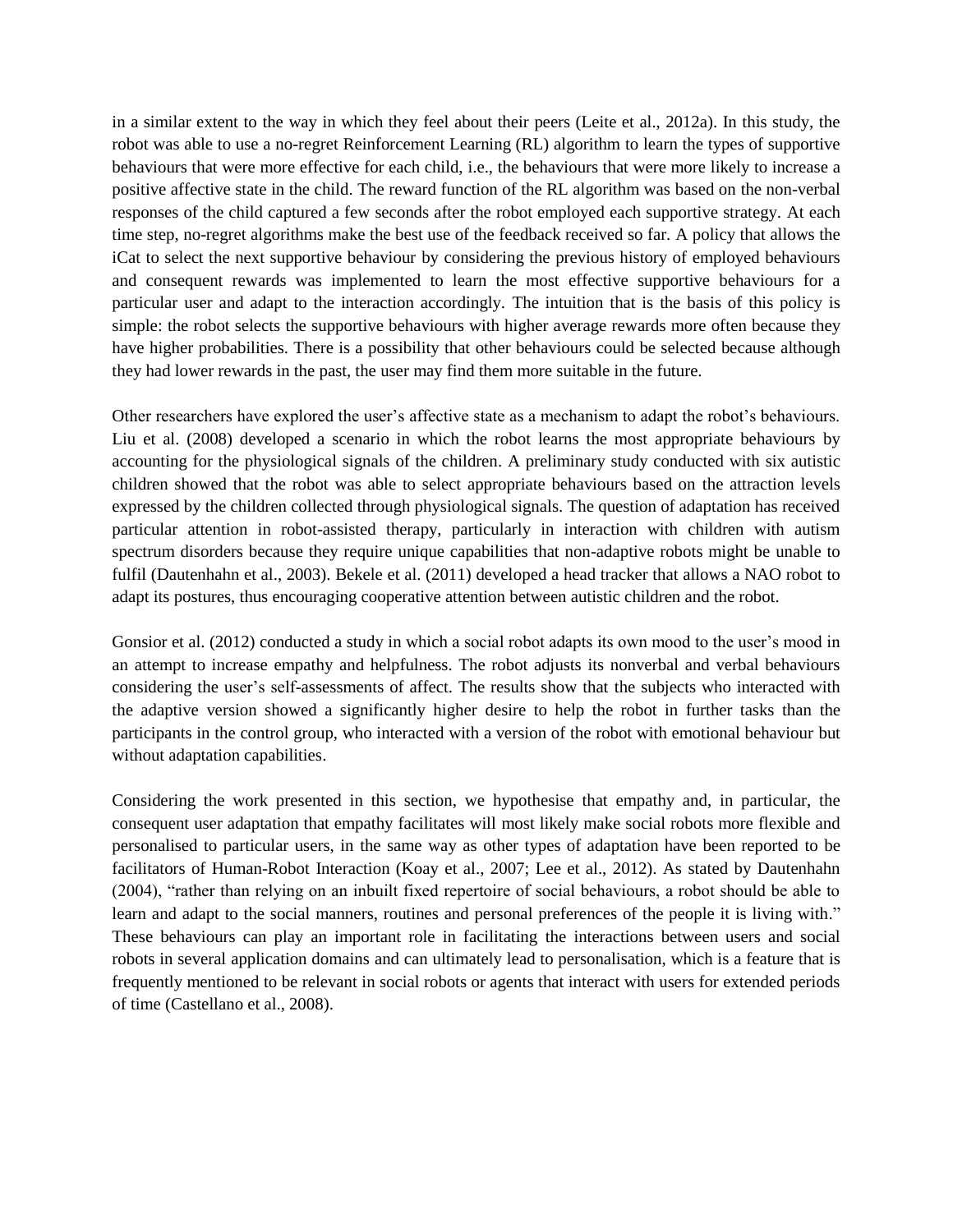in a similar extent to the way in which they feel about their peers (Leite et al., 2012a). In this study, the robot was able to use a no-regret Reinforcement Learning (RL) algorithm to learn the types of supportive behaviours that were more effective for each child, i.e., the behaviours that were more likely to increase a positive affective state in the child. The reward function of the RL algorithm was based on the non-verbal responses of the child captured a few seconds after the robot employed each supportive strategy. At each time step, no-regret algorithms make the best use of the feedback received so far. A policy that allows the iCat to select the next supportive behaviour by considering the previous history of employed behaviours and consequent rewards was implemented to learn the most effective supportive behaviours for a particular user and adapt to the interaction accordingly. The intuition that is the basis of this policy is simple: the robot selects the supportive behaviours with higher average rewards more often because they have higher probabilities. There is a possibility that other behaviours could be selected because although they had lower rewards in the past, the user may find them more suitable in the future.

Other researchers have explored the user's affective state as a mechanism to adapt the robot's behaviours. Liu et al. (2008) developed a scenario in which the robot learns the most appropriate behaviours by accounting for the physiological signals of the children. A preliminary study conducted with six autistic children showed that the robot was able to select appropriate behaviours based on the attraction levels expressed by the children collected through physiological signals. The question of adaptation has received particular attention in robot-assisted therapy, particularly in interaction with children with autism spectrum disorders because they require unique capabilities that non-adaptive robots might be unable to fulfil (Dautenhahn et al., 2003). Bekele et al. (2011) developed a head tracker that allows a NAO robot to adapt its postures, thus encouraging cooperative attention between autistic children and the robot.

Gonsior et al. (2012) conducted a study in which a social robot adapts its own mood to the user's mood in an attempt to increase empathy and helpfulness. The robot adjusts its nonverbal and verbal behaviours considering the user's self-assessments of affect. The results show that the subjects who interacted with the adaptive version showed a significantly higher desire to help the robot in further tasks than the participants in the control group, who interacted with a version of the robot with emotional behaviour but without adaptation capabilities.

Considering the work presented in this section, we hypothesise that empathy and, in particular, the consequent user adaptation that empathy facilitates will most likely make social robots more flexible and personalised to particular users, in the same way as other types of adaptation have been reported to be facilitators of Human-Robot Interaction (Koay et al., 2007; Lee et al., 2012). As stated by Dautenhahn (2004), "rather than relying on an inbuilt fixed repertoire of social behaviours, a robot should be able to learn and adapt to the social manners, routines and personal preferences of the people it is living with." These behaviours can play an important role in facilitating the interactions between users and social robots in several application domains and can ultimately lead to personalisation, which is a feature that is frequently mentioned to be relevant in social robots or agents that interact with users for extended periods of time (Castellano et al., 2008).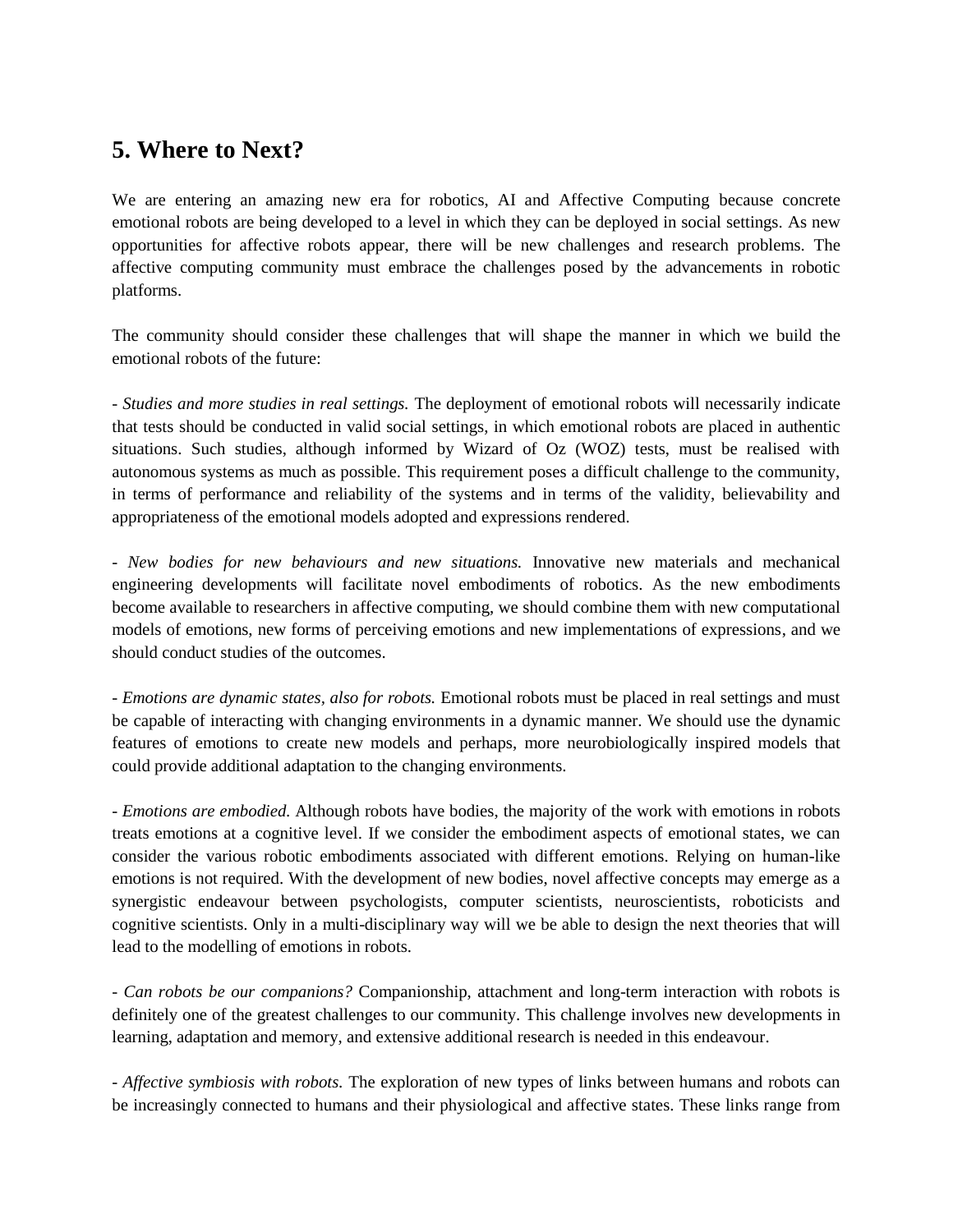### **5. Where to Next?**

We are entering an amazing new era for robotics, AI and Affective Computing because concrete emotional robots are being developed to a level in which they can be deployed in social settings. As new opportunities for affective robots appear, there will be new challenges and research problems. The affective computing community must embrace the challenges posed by the advancements in robotic platforms.

The community should consider these challenges that will shape the manner in which we build the emotional robots of the future:

- *Studies and more studies in real settings.* The deployment of emotional robots will necessarily indicate that tests should be conducted in valid social settings, in which emotional robots are placed in authentic situations. Such studies, although informed by Wizard of Oz (WOZ) tests, must be realised with autonomous systems as much as possible. This requirement poses a difficult challenge to the community, in terms of performance and reliability of the systems and in terms of the validity, believability and appropriateness of the emotional models adopted and expressions rendered.

- *New bodies for new behaviours and new situations.* Innovative new materials and mechanical engineering developments will facilitate novel embodiments of robotics. As the new embodiments become available to researchers in affective computing, we should combine them with new computational models of emotions, new forms of perceiving emotions and new implementations of expressions, and we should conduct studies of the outcomes.

- *Emotions are dynamic states, also for robots.* Emotional robots must be placed in real settings and must be capable of interacting with changing environments in a dynamic manner. We should use the dynamic features of emotions to create new models and perhaps, more neurobiologically inspired models that could provide additional adaptation to the changing environments.

- *Emotions are embodied.* Although robots have bodies, the majority of the work with emotions in robots treats emotions at a cognitive level. If we consider the embodiment aspects of emotional states, we can consider the various robotic embodiments associated with different emotions. Relying on human-like emotions is not required. With the development of new bodies, novel affective concepts may emerge as a synergistic endeavour between psychologists, computer scientists, neuroscientists, roboticists and cognitive scientists. Only in a multi-disciplinary way will we be able to design the next theories that will lead to the modelling of emotions in robots.

- *Can robots be our companions?* Companionship, attachment and long-term interaction with robots is definitely one of the greatest challenges to our community. This challenge involves new developments in learning, adaptation and memory, and extensive additional research is needed in this endeavour.

- *Affective symbiosis with robots.* The exploration of new types of links between humans and robots can be increasingly connected to humans and their physiological and affective states. These links range from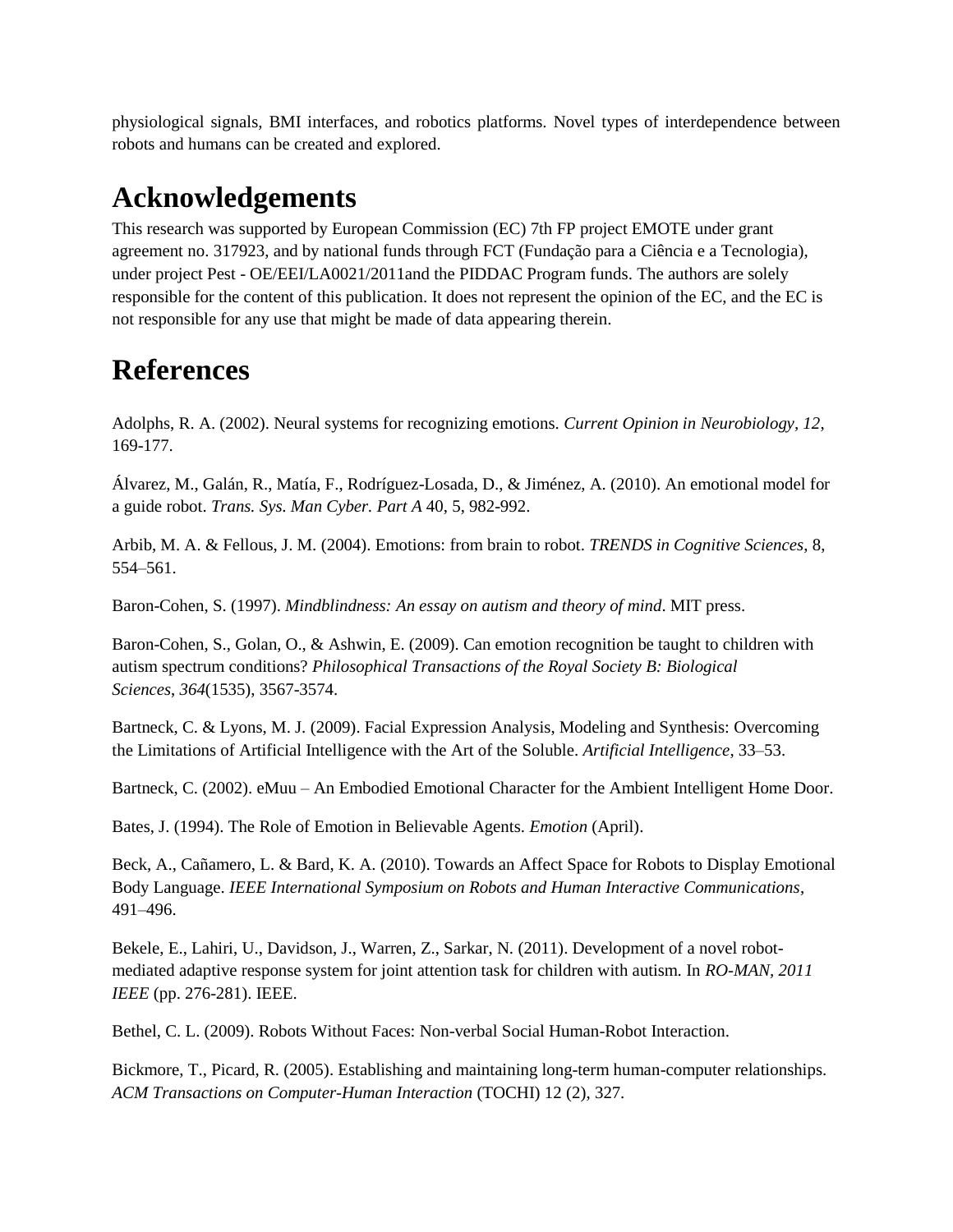physiological signals, BMI interfaces, and robotics platforms. Novel types of interdependence between robots and humans can be created and explored.

# **Acknowledgements**

This research was supported by European Commission (EC) 7th FP project EMOTE under grant agreement no. 317923, and by national funds through FCT (Fundação para a Ciência e a Tecnologia), under project Pest - OE/EEI/LA0021/2011and the PIDDAC Program funds. The authors are solely responsible for the content of this publication. It does not represent the opinion of the EC, and the EC is not responsible for any use that might be made of data appearing therein.

## **References**

Adolphs, R. A. (2002). Neural systems for recognizing emotions. *Current Opinion in Neurobiology, 12*, 169-177.

Álvarez, M., Galán, R., Matía, F., Rodríguez-Losada, D., & Jiménez, A. (2010). An emotional model for a guide robot. *Trans. Sys. Man Cyber. Part A* 40, 5, 982-992.

Arbib, M. A. & Fellous, J. M. (2004). Emotions: from brain to robot. *TRENDS in Cognitive Sciences*, 8, 554–561.

Baron-Cohen, S. (1997). *Mindblindness: An essay on autism and theory of mind*. MIT press.

Baron-Cohen, S., Golan, O., & Ashwin, E. (2009). Can emotion recognition be taught to children with autism spectrum conditions? *Philosophical Transactions of the Royal Society B: Biological Sciences*, *364*(1535), 3567-3574.

Bartneck, C. & Lyons, M. J. (2009). Facial Expression Analysis, Modeling and Synthesis: Overcoming the Limitations of Artificial Intelligence with the Art of the Soluble. *Artificial Intelligence*, 33–53.

Bartneck, C. (2002). eMuu – An Embodied Emotional Character for the Ambient Intelligent Home Door.

Bates, J. (1994). The Role of Emotion in Believable Agents. *Emotion* (April).

Beck, A., Cañamero, L. & Bard, K. A. (2010). Towards an Affect Space for Robots to Display Emotional Body Language. *IEEE International Symposium on Robots and Human Interactive Communications*, 491–496.

Bekele, E., Lahiri, U., Davidson, J., Warren, Z., Sarkar, N. (2011). Development of a novel robotmediated adaptive response system for joint attention task for children with autism. In *RO-MAN, 2011 IEEE* (pp. 276-281). IEEE.

Bethel, C. L. (2009). Robots Without Faces: Non-verbal Social Human-Robot Interaction.

Bickmore, T., Picard, R. (2005). Establishing and maintaining long-term human-computer relationships. *ACM Transactions on Computer-Human Interaction* (TOCHI) 12 (2), 327.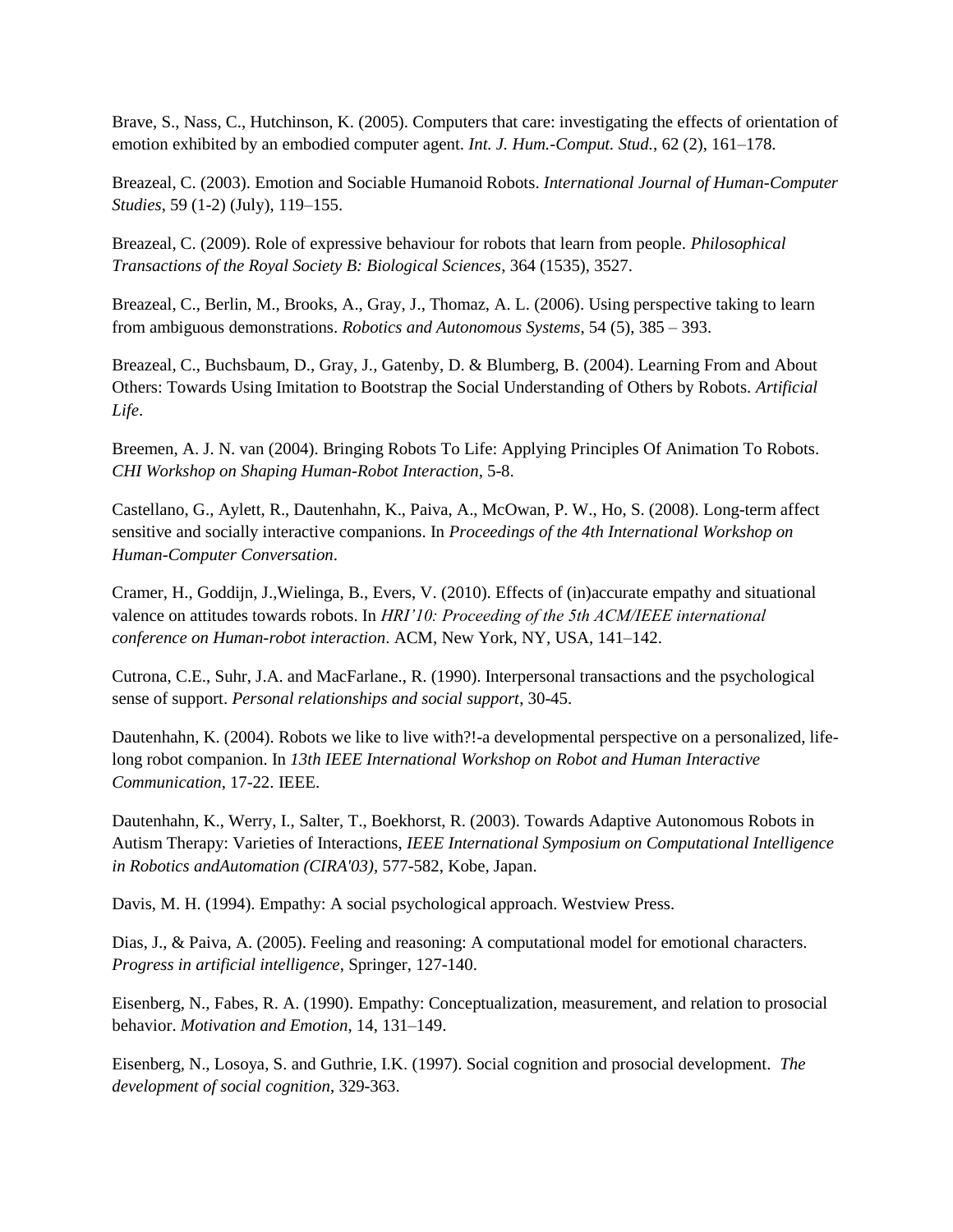Brave, S., Nass, C., Hutchinson, K. (2005). Computers that care: investigating the effects of orientation of emotion exhibited by an embodied computer agent. *Int. J. Hum.-Comput. Stud.*, 62 (2), 161–178.

Breazeal, C. (2003). Emotion and Sociable Humanoid Robots. *International Journal of Human-Computer Studies*, 59 (1-2) (July), 119–155.

Breazeal, C. (2009). Role of expressive behaviour for robots that learn from people. *Philosophical Transactions of the Royal Society B: Biological Sciences*, 364 (1535), 3527.

Breazeal, C., Berlin, M., Brooks, A., Gray, J., Thomaz, A. L. (2006). Using perspective taking to learn from ambiguous demonstrations. *Robotics and Autonomous Systems*, 54 (5), 385 – 393.

Breazeal, C., Buchsbaum, D., Gray, J., Gatenby, D. & Blumberg, B. (2004). Learning From and About Others: Towards Using Imitation to Bootstrap the Social Understanding of Others by Robots. *Artificial Life*.

Breemen, A. J. N. van (2004). Bringing Robots To Life: Applying Principles Of Animation To Robots. *CHI Workshop on Shaping Human-Robot Interaction*, 5-8.

Castellano, G., Aylett, R., Dautenhahn, K., Paiva, A., McOwan, P. W., Ho, S. (2008). Long-term affect sensitive and socially interactive companions. In *Proceedings of the 4th International Workshop on Human-Computer Conversation*.

Cramer, H., Goddijn, J.,Wielinga, B., Evers, V. (2010). Effects of (in)accurate empathy and situational valence on attitudes towards robots. In *HRI'10: Proceeding of the 5th ACM/IEEE international conference on Human-robot interaction*. ACM, New York, NY, USA, 141–142.

Cutrona, C.E., Suhr, J.A. and MacFarlane., R. (1990). Interpersonal transactions and the psychological sense of support. *Personal relationships and social support*, 30-45.

Dautenhahn, K. (2004). Robots we like to live with?!-a developmental perspective on a personalized, lifelong robot companion. In *13th IEEE International Workshop on Robot and Human Interactive Communication*, 17-22. IEEE.

Dautenhahn, K., Werry, I., Salter, T., Boekhorst, R. (2003). Towards Adaptive Autonomous Robots in Autism Therapy: Varieties of Interactions, *IEEE International Symposium on Computational Intelligence in Robotics andAutomation (CIRA'03)*, 577-582, Kobe, Japan.

Davis, M. H. (1994). Empathy: A social psychological approach. Westview Press.

Dias, J., & Paiva, A. (2005). Feeling and reasoning: A computational model for emotional characters. *Progress in artificial intelligence*, Springer, 127-140.

Eisenberg, N., Fabes, R. A. (1990). Empathy: Conceptualization, measurement, and relation to prosocial behavior. *Motivation and Emotion*, 14, 131–149.

Eisenberg, N., Losoya, S. and Guthrie, I.K. (1997). Social cognition and prosocial development. *The development of social cognition*, 329-363.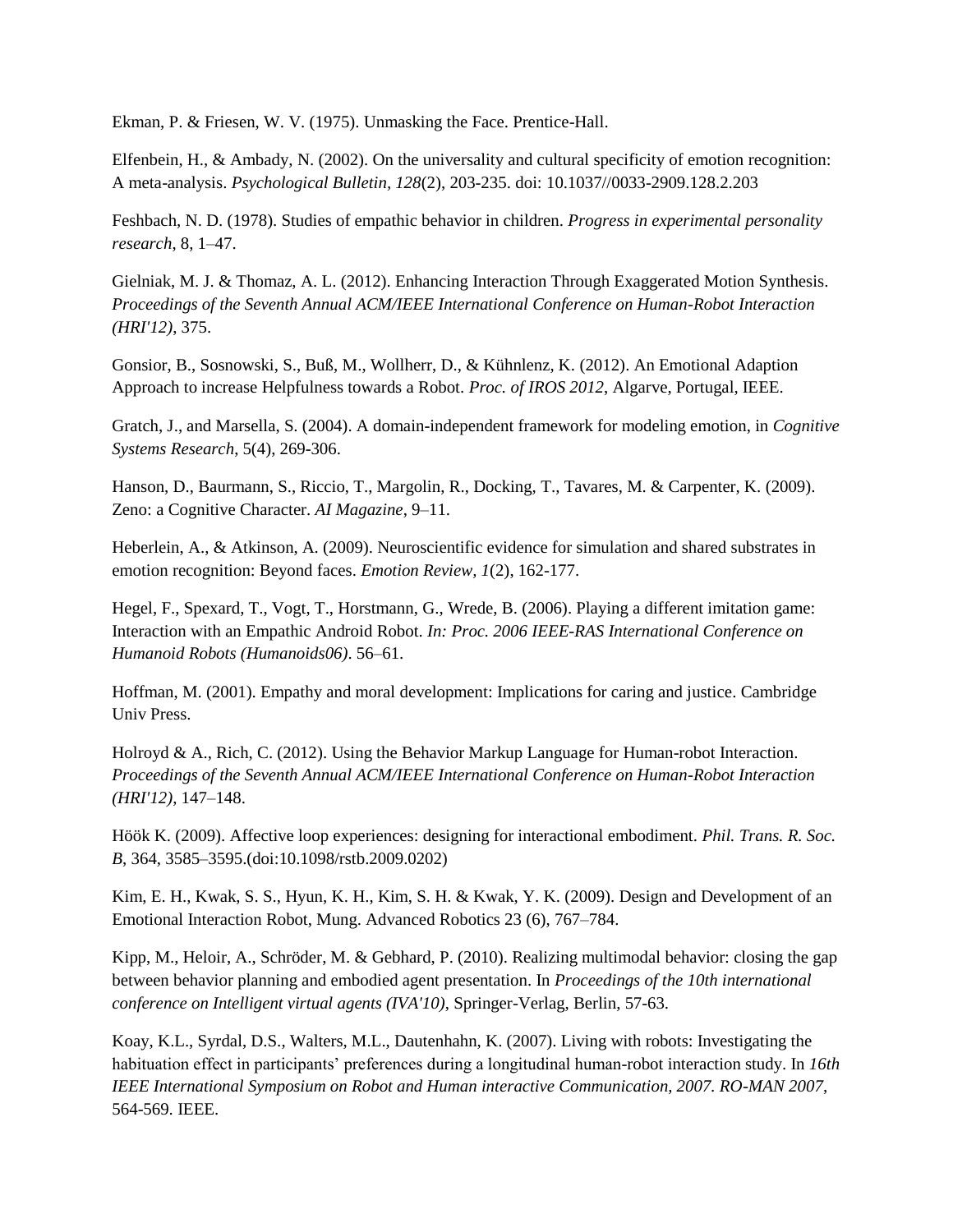Ekman, P. & Friesen, W. V. (1975). Unmasking the Face. Prentice-Hall.

Elfenbein, H., & Ambady, N. (2002). On the universality and cultural specificity of emotion recognition: A meta-analysis. *Psychological Bulletin, 128*(2), 203-235. doi: 10.1037//0033-2909.128.2.203

Feshbach, N. D. (1978). Studies of empathic behavior in children. *Progress in experimental personality research*, 8, 1–47.

Gielniak, M. J. & Thomaz, A. L. (2012). Enhancing Interaction Through Exaggerated Motion Synthesis. *Proceedings of the Seventh Annual ACM/IEEE International Conference on Human-Robot Interaction (HRI'12)*, 375.

Gonsior, B., Sosnowski, S., Buß, M., Wollherr, D., & Kühnlenz, K. (2012). An Emotional Adaption Approach to increase Helpfulness towards a Robot. *Proc. of IROS 2012*, Algarve, Portugal, IEEE.

Gratch, J., and Marsella, S. (2004). A domain-independent framework for modeling emotion, in *Cognitive Systems Research*, 5(4), 269-306.

Hanson, D., Baurmann, S., Riccio, T., Margolin, R., Docking, T., Tavares, M. & Carpenter, K. (2009). Zeno: a Cognitive Character. *AI Magazine*, 9–11.

Heberlein, A., & Atkinson, A. (2009). Neuroscientific evidence for simulation and shared substrates in emotion recognition: Beyond faces. *Emotion Review, 1*(2), 162-177.

Hegel, F., Spexard, T., Vogt, T., Horstmann, G., Wrede, B. (2006). Playing a different imitation game: Interaction with an Empathic Android Robot. *In: Proc. 2006 IEEE-RAS International Conference on Humanoid Robots (Humanoids06)*. 56–61.

Hoffman, M. (2001). Empathy and moral development: Implications for caring and justice. Cambridge Univ Press.

Holroyd & A., Rich, C. (2012). Using the Behavior Markup Language for Human-robot Interaction. *Proceedings of the Seventh Annual ACM/IEEE International Conference on Human-Robot Interaction (HRI'12)*, 147–148.

Höök K. (2009). Affective loop experiences: designing for interactional embodiment. *Phil. Trans. R. Soc. B*, 364, 3585–3595.(doi:10.1098/rstb.2009.0202)

Kim, E. H., Kwak, S. S., Hyun, K. H., Kim, S. H. & Kwak, Y. K. (2009). Design and Development of an Emotional Interaction Robot, Mung. Advanced Robotics 23 (6), 767–784.

Kipp, M., Heloir, A., Schröder, M. & Gebhard, P. (2010). Realizing multimodal behavior: closing the gap between behavior planning and embodied agent presentation. In *Proceedings of the 10th international conference on Intelligent virtual agents (IVA'10)*, Springer-Verlag, Berlin, 57-63.

Koay, K.L., Syrdal, D.S., Walters, M.L., Dautenhahn, K. (2007). Living with robots: Investigating the habituation effect in participants' preferences during a longitudinal human-robot interaction study. In *16th IEEE International Symposium on Robot and Human interactive Communication, 2007. RO-MAN 2007*, 564-569. IEEE.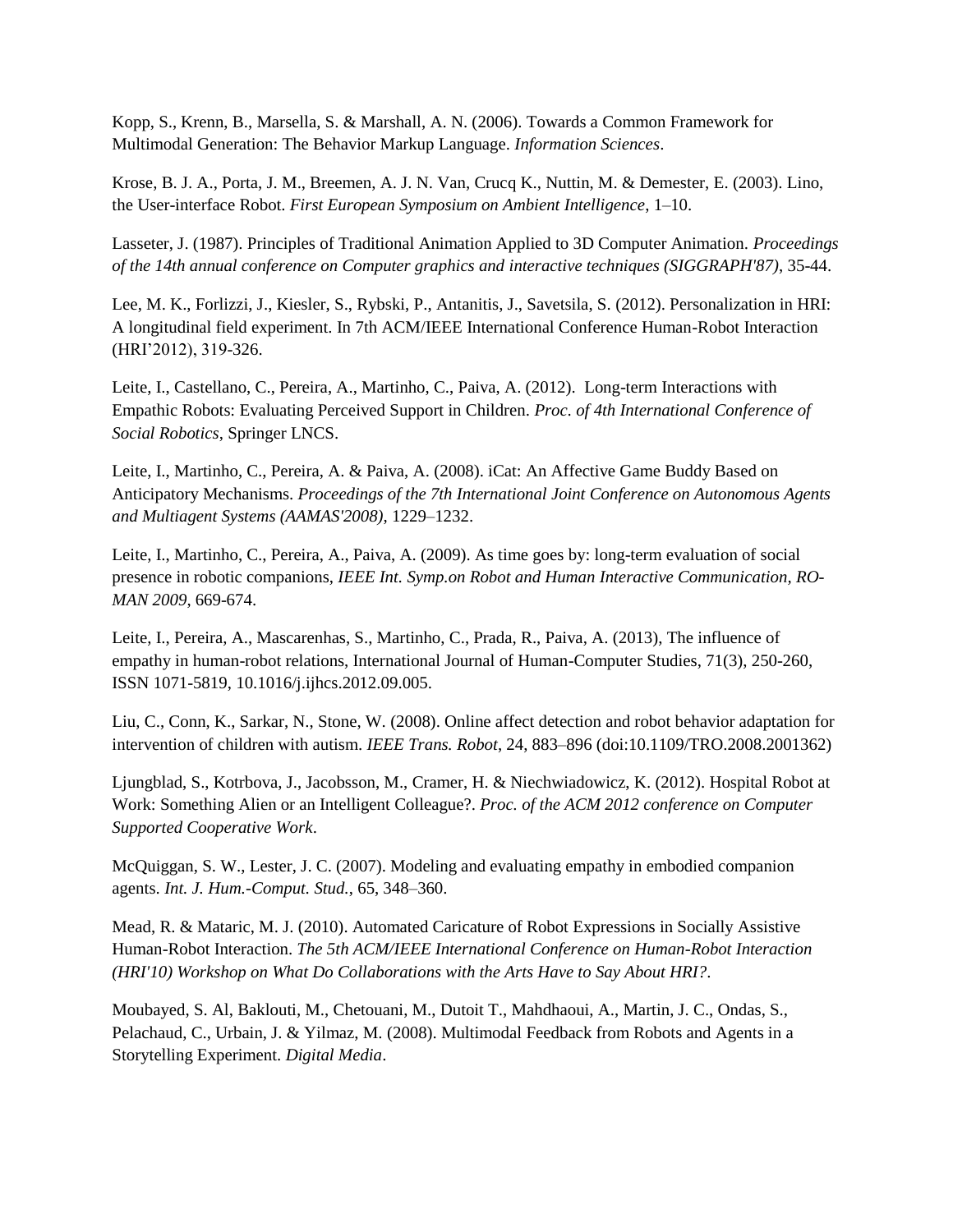Kopp, S., Krenn, B., Marsella, S. & Marshall, A. N. (2006). Towards a Common Framework for Multimodal Generation: The Behavior Markup Language. *Information Sciences*.

Krose, B. J. A., Porta, J. M., Breemen, A. J. N. Van, Crucq K., Nuttin, M. & Demester, E. (2003). Lino, the User-interface Robot. *First European Symposium on Ambient Intelligence*, 1–10.

Lasseter, J. (1987). Principles of Traditional Animation Applied to 3D Computer Animation. *Proceedings of the 14th annual conference on Computer graphics and interactive techniques (SIGGRAPH'87)*, 35-44.

Lee, M. K., Forlizzi, J., Kiesler, S., Rybski, P., Antanitis, J., Savetsila, S. (2012). Personalization in HRI: A longitudinal field experiment. In 7th ACM/IEEE International Conference Human-Robot Interaction (HRI'2012), 319-326.

Leite, I., Castellano, C., Pereira, A., Martinho, C., Paiva, A. (2012). Long-term Interactions with Empathic Robots: Evaluating Perceived Support in Children. *Proc. of 4th International Conference of Social Robotics*, Springer LNCS.

Leite, I., Martinho, C., Pereira, A. & Paiva, A. (2008). iCat: An Affective Game Buddy Based on Anticipatory Mechanisms. *Proceedings of the 7th International Joint Conference on Autonomous Agents and Multiagent Systems (AAMAS'2008)*, 1229–1232.

Leite, I., Martinho, C., Pereira, A., Paiva, A. (2009). As time goes by: long-term evaluation of social presence in robotic companions, *IEEE Int. Symp.on Robot and Human Interactive Communication, RO-MAN 2009*, 669-674.

Leite, I., Pereira, A., Mascarenhas, S., Martinho, C., Prada, R., Paiva, A. (2013), The influence of empathy in human-robot relations, International Journal of Human-Computer Studies, 71(3), 250-260, ISSN 1071-5819, 10.1016/j.ijhcs.2012.09.005.

Liu, C., Conn, K., Sarkar, N., Stone, W. (2008). Online affect detection and robot behavior adaptation for intervention of children with autism. *IEEE Trans. Robot*, 24, 883–896 (doi:10.1109/TRO.2008.2001362)

Ljungblad, S., Kotrbova, J., Jacobsson, M., Cramer, H. & Niechwiadowicz, K. (2012). Hospital Robot at Work: Something Alien or an Intelligent Colleague?. *Proc. of the ACM 2012 conference on Computer Supported Cooperative Work*.

McQuiggan, S. W., Lester, J. C. (2007). Modeling and evaluating empathy in embodied companion agents. *Int. J. Hum.-Comput. Stud.*, 65, 348–360.

Mead, R. & Mataric, M. J. (2010). Automated Caricature of Robot Expressions in Socially Assistive Human-Robot Interaction. *The 5th ACM/IEEE International Conference on Human-Robot Interaction (HRI'10) Workshop on What Do Collaborations with the Arts Have to Say About HRI?*.

Moubayed, S. Al, Baklouti, M., Chetouani, M., Dutoit T., Mahdhaoui, A., Martin, J. C., Ondas, S., Pelachaud, C., Urbain, J. & Yilmaz, M. (2008). Multimodal Feedback from Robots and Agents in a Storytelling Experiment. *Digital Media*.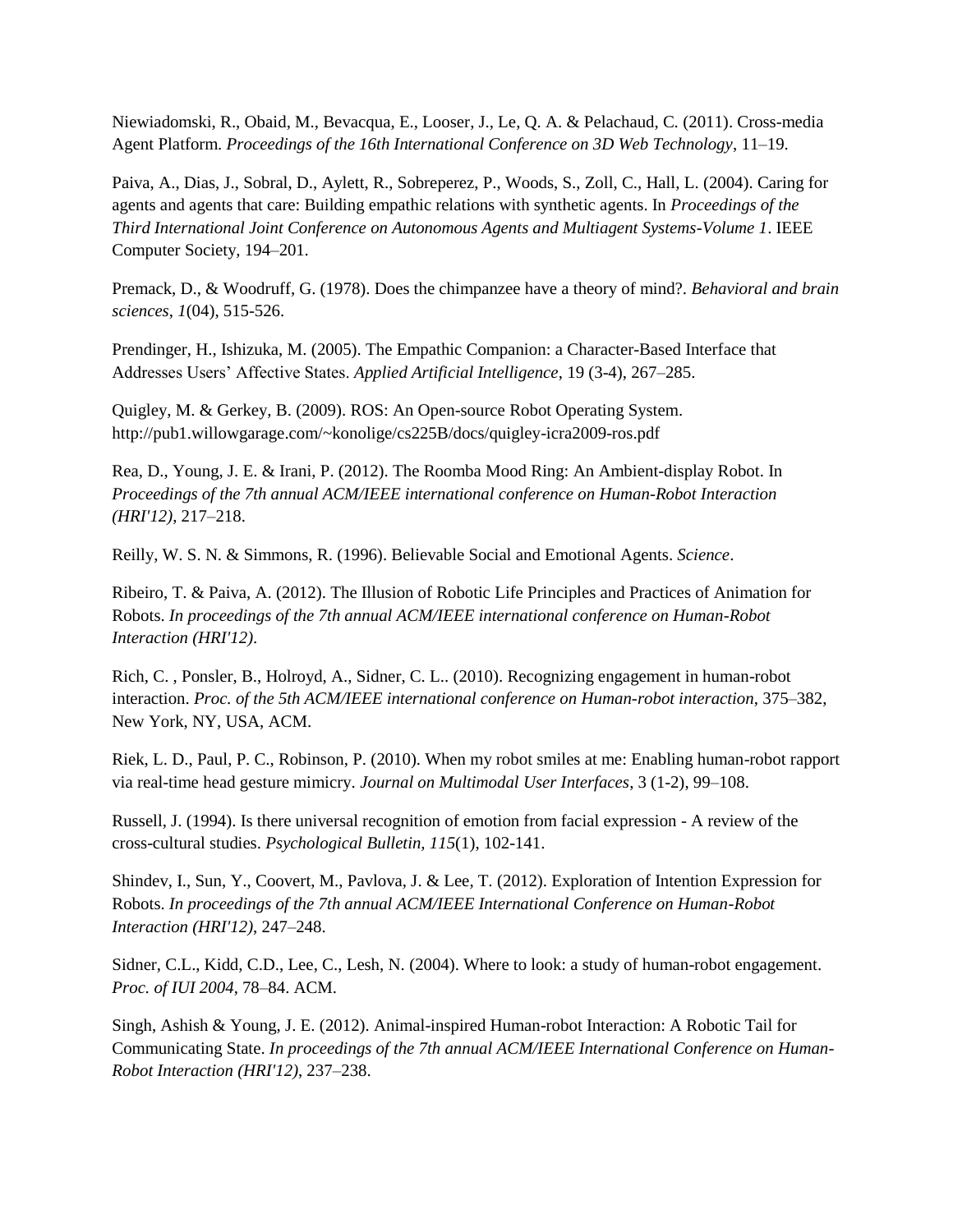Niewiadomski, R., Obaid, M., Bevacqua, E., Looser, J., Le, Q. A. & Pelachaud, C. (2011). Cross-media Agent Platform. *Proceedings of the 16th International Conference on 3D Web Technology*, 11–19.

Paiva, A., Dias, J., Sobral, D., Aylett, R., Sobreperez, P., Woods, S., Zoll, C., Hall, L. (2004). Caring for agents and agents that care: Building empathic relations with synthetic agents. In *Proceedings of the Third International Joint Conference on Autonomous Agents and Multiagent Systems-Volume 1*. IEEE Computer Society, 194–201.

Premack, D., & Woodruff, G. (1978). Does the chimpanzee have a theory of mind?. *Behavioral and brain sciences*, *1*(04), 515-526.

Prendinger, H., Ishizuka, M. (2005). The Empathic Companion: a Character-Based Interface that Addresses Users' Affective States. *Applied Artificial Intelligence*, 19 (3-4), 267–285.

Quigley, M. & Gerkey, B. (2009). ROS: An Open-source Robot Operating System. http://pub1.willowgarage.com/~konolige/cs225B/docs/quigley-icra2009-ros.pdf

Rea, D., Young, J. E. & Irani, P. (2012). The Roomba Mood Ring: An Ambient-display Robot. In *Proceedings of the 7th annual ACM/IEEE international conference on Human-Robot Interaction (HRI'12)*, 217–218.

Reilly, W. S. N. & Simmons, R. (1996). Believable Social and Emotional Agents. *Science*.

Ribeiro, T. & Paiva, A. (2012). The Illusion of Robotic Life Principles and Practices of Animation for Robots. *In proceedings of the 7th annual ACM/IEEE international conference on Human-Robot Interaction (HRI'12)*.

Rich, C. , Ponsler, B., Holroyd, A., Sidner, C. L.. (2010). Recognizing engagement in human-robot interaction. *Proc. of the 5th ACM/IEEE international conference on Human-robot interaction*, 375–382, New York, NY, USA, ACM.

Riek, L. D., Paul, P. C., Robinson, P. (2010). When my robot smiles at me: Enabling human-robot rapport via real-time head gesture mimicry. *Journal on Multimodal User Interfaces*, 3 (1-2), 99–108.

Russell, J. (1994). Is there universal recognition of emotion from facial expression - A review of the cross-cultural studies. *Psychological Bulletin, 115*(1), 102-141.

Shindev, I., Sun, Y., Coovert, M., Pavlova, J. & Lee, T. (2012). Exploration of Intention Expression for Robots. *In proceedings of the 7th annual ACM/IEEE International Conference on Human-Robot Interaction (HRI'12)*, 247–248.

Sidner, C.L., Kidd, C.D., Lee, C., Lesh, N. (2004). Where to look: a study of human-robot engagement. *Proc. of IUI 2004*, 78–84. ACM.

Singh, Ashish & Young, J. E. (2012). Animal-inspired Human-robot Interaction: A Robotic Tail for Communicating State. *In proceedings of the 7th annual ACM/IEEE International Conference on Human-Robot Interaction (HRI'12)*, 237–238.